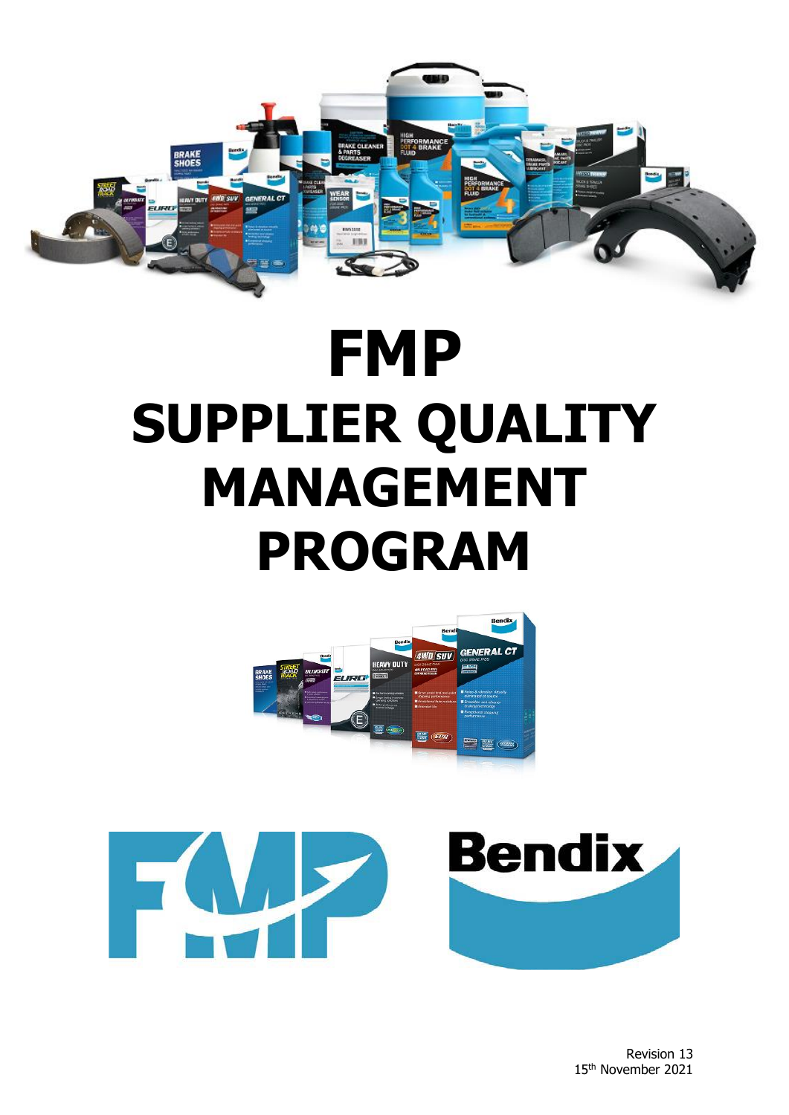

# **FMP SUPPLIER QUALITY MANAGEMENT PROGRAM**



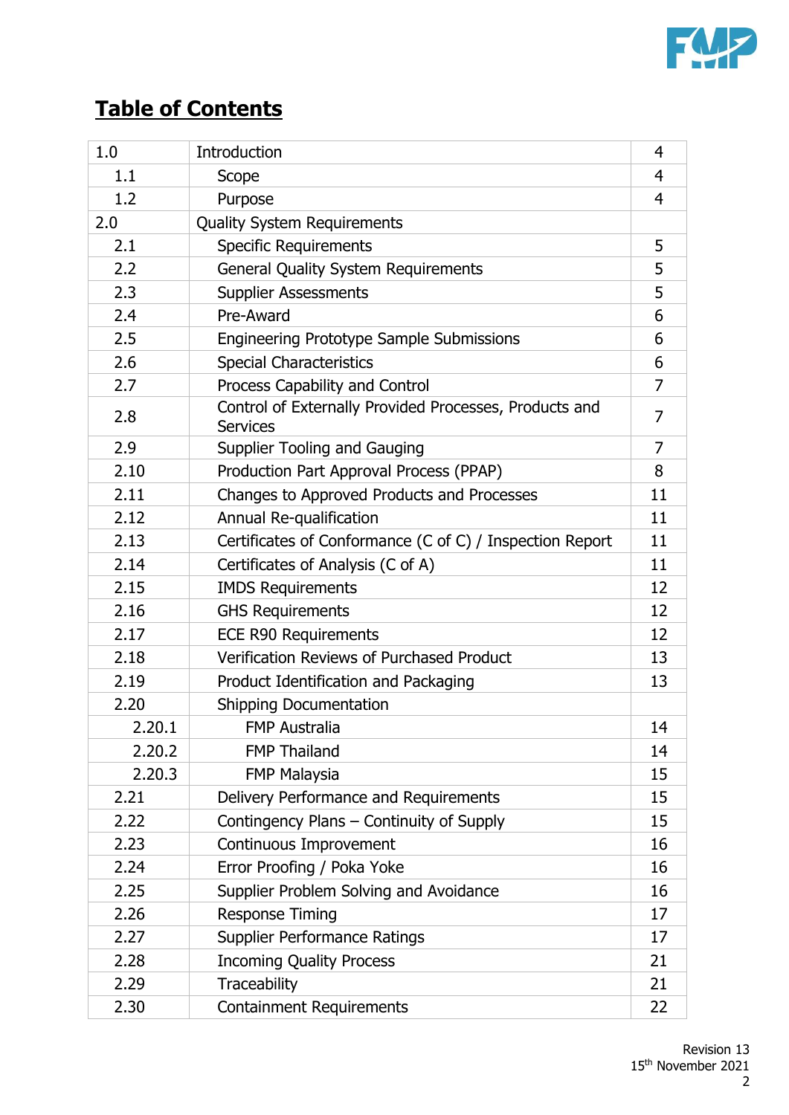

# **Table of Contents**

| 1.0    | <b>Introduction</b>                                                       | 4              |
|--------|---------------------------------------------------------------------------|----------------|
| 1.1    | Scope                                                                     | $\overline{4}$ |
| 1.2    | Purpose                                                                   | $\overline{4}$ |
| 2.0    | <b>Quality System Requirements</b>                                        |                |
| 2.1    | <b>Specific Requirements</b>                                              | 5              |
| 2.2    | <b>General Quality System Requirements</b>                                | 5              |
| 2.3    | <b>Supplier Assessments</b>                                               | 5              |
| 2.4    | Pre-Award                                                                 | 6              |
| 2.5    | <b>Engineering Prototype Sample Submissions</b>                           | 6              |
| 2.6    | <b>Special Characteristics</b>                                            | 6              |
| 2.7    | Process Capability and Control                                            | 7              |
| 2.8    | Control of Externally Provided Processes, Products and<br><b>Services</b> | 7              |
| 2.9    | Supplier Tooling and Gauging                                              | $\overline{7}$ |
| 2.10   | Production Part Approval Process (PPAP)                                   | 8              |
| 2.11   | Changes to Approved Products and Processes                                | 11             |
| 2.12   | Annual Re-qualification                                                   | 11             |
| 2.13   | Certificates of Conformance (C of C) / Inspection Report                  | 11             |
| 2.14   | Certificates of Analysis (C of A)                                         | 11             |
| 2.15   | <b>IMDS Requirements</b>                                                  | 12             |
| 2.16   | <b>GHS Requirements</b>                                                   | 12             |
| 2.17   | <b>ECE R90 Requirements</b>                                               | 12             |
| 2.18   | Verification Reviews of Purchased Product                                 | 13             |
| 2.19   | Product Identification and Packaging                                      | 13             |
| 2.20   | <b>Shipping Documentation</b>                                             |                |
| 2.20.1 | <b>FMP Australia</b>                                                      | 14             |
| 2.20.2 | <b>FMP Thailand</b>                                                       | 14             |
| 2.20.3 | <b>FMP Malaysia</b>                                                       | 15             |
| 2.21   | Delivery Performance and Requirements                                     | 15             |
| 2.22   | Contingency Plans - Continuity of Supply                                  | 15             |
| 2.23   | Continuous Improvement                                                    | 16             |
| 2.24   | Error Proofing / Poka Yoke                                                | 16             |
| 2.25   | Supplier Problem Solving and Avoidance                                    | 16             |
| 2.26   | <b>Response Timing</b>                                                    | 17             |
| 2.27   | <b>Supplier Performance Ratings</b>                                       | 17             |
| 2.28   | <b>Incoming Quality Process</b>                                           | 21             |
| 2.29   | Traceability                                                              | 21             |
| 2.30   | <b>Containment Requirements</b>                                           | 22             |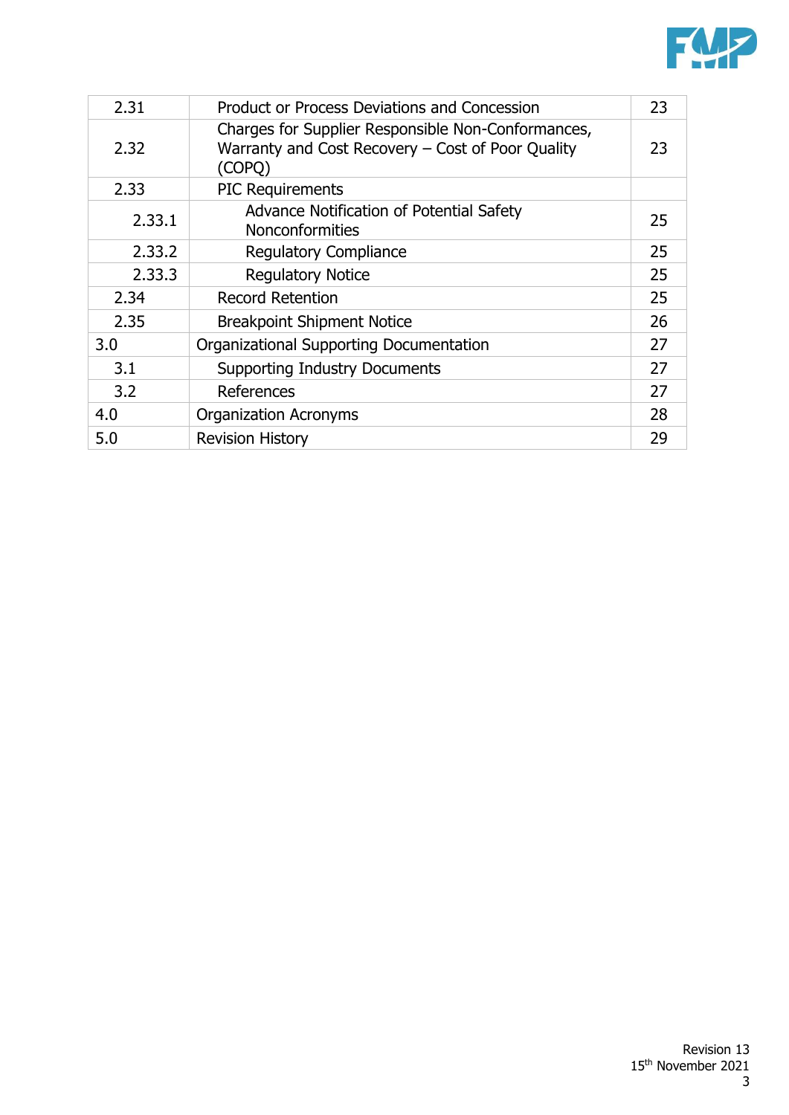

| 2.31   | <b>Product or Process Deviations and Concession</b>                                                               | 23 |
|--------|-------------------------------------------------------------------------------------------------------------------|----|
| 2.32   | Charges for Supplier Responsible Non-Conformances,<br>Warranty and Cost Recovery - Cost of Poor Quality<br>(COPO) | 23 |
| 2.33   | <b>PIC Requirements</b>                                                                                           |    |
| 2.33.1 | Advance Notification of Potential Safety<br><b>Nonconformities</b>                                                | 25 |
| 2.33.2 | <b>Regulatory Compliance</b>                                                                                      | 25 |
| 2.33.3 | <b>Regulatory Notice</b>                                                                                          | 25 |
| 2.34   | <b>Record Retention</b>                                                                                           | 25 |
| 2.35   | <b>Breakpoint Shipment Notice</b>                                                                                 | 26 |
| 3.0    | Organizational Supporting Documentation                                                                           | 27 |
| 3.1    | <b>Supporting Industry Documents</b>                                                                              | 27 |
| 3.2    | References                                                                                                        | 27 |
| 4.0    | <b>Organization Acronyms</b>                                                                                      | 28 |
| 5.0    | <b>Revision History</b>                                                                                           | 29 |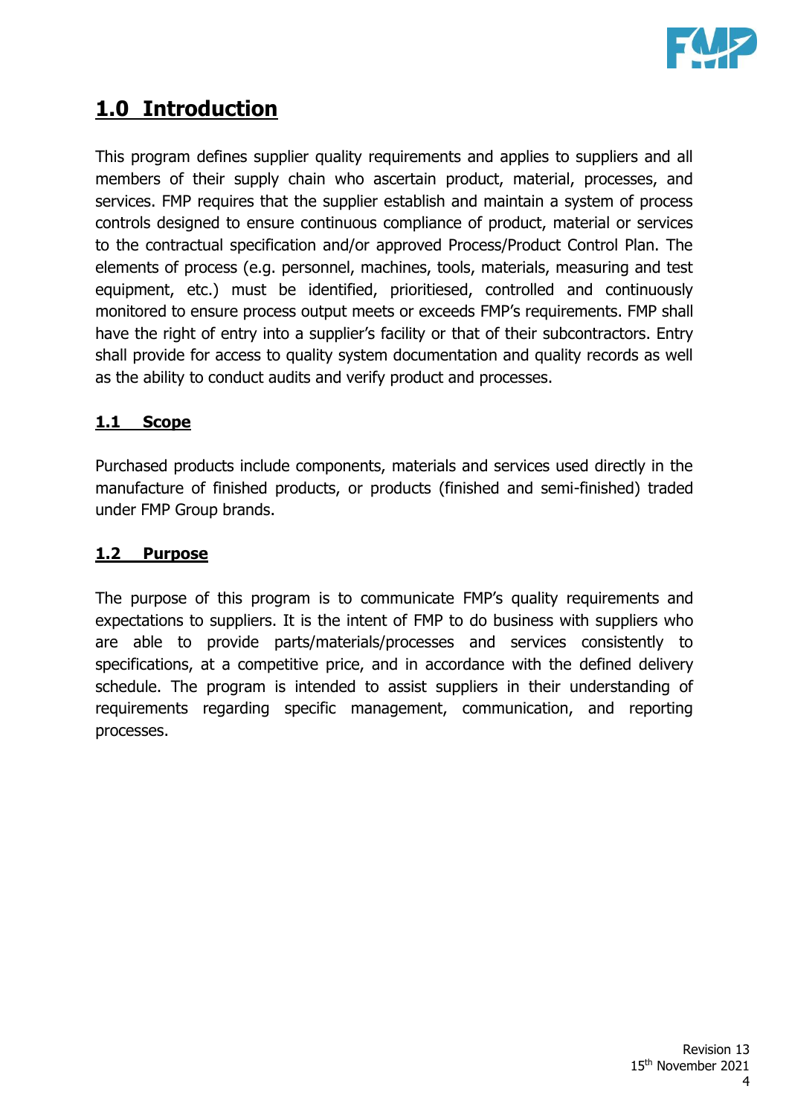

# **1.0 Introduction**

This program defines supplier quality requirements and applies to suppliers and all members of their supply chain who ascertain product, material, processes, and services. FMP requires that the supplier establish and maintain a system of process controls designed to ensure continuous compliance of product, material or services to the contractual specification and/or approved Process/Product Control Plan. The elements of process (e.g. personnel, machines, tools, materials, measuring and test equipment, etc.) must be identified, prioritiesed, controlled and continuously monitored to ensure process output meets or exceeds FMP's requirements. FMP shall have the right of entry into a supplier's facility or that of their subcontractors. Entry shall provide for access to quality system documentation and quality records as well as the ability to conduct audits and verify product and processes.

# **1.1 Scope**

Purchased products include components, materials and services used directly in the manufacture of finished products, or products (finished and semi-finished) traded under FMP Group brands.

# **1.2 Purpose**

The purpose of this program is to communicate FMP's quality requirements and expectations to suppliers. It is the intent of FMP to do business with suppliers who are able to provide parts/materials/processes and services consistently to specifications, at a competitive price, and in accordance with the defined delivery schedule. The program is intended to assist suppliers in their understanding of requirements regarding specific management, communication, and reporting processes.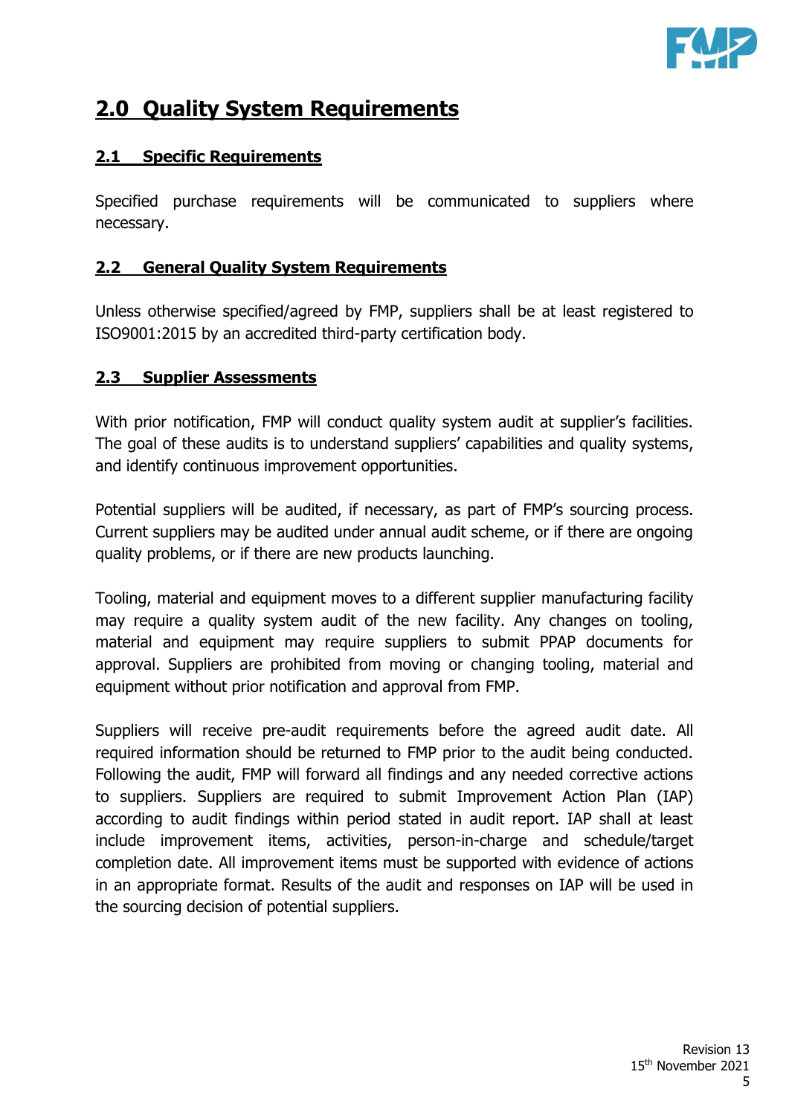

# **2.0 Quality System Requirements**

#### **2.1 Specific Requirements**

Specified purchase requirements will be communicated to suppliers where necessary.

#### **2.2 General Quality System Requirements**

Unless otherwise specified/agreed by FMP, suppliers shall be at least registered to ISO9001:2015 by an accredited third-party certification body.

#### **2.3 Supplier Assessments**

With prior notification, FMP will conduct quality system audit at supplier's facilities. The goal of these audits is to understand suppliers' capabilities and quality systems, and identify continuous improvement opportunities.

Potential suppliers will be audited, if necessary, as part of FMP's sourcing process. Current suppliers may be audited under annual audit scheme, or if there are ongoing quality problems, or if there are new products launching.

Tooling, material and equipment moves to a different supplier manufacturing facility may require a quality system audit of the new facility. Any changes on tooling, material and equipment may require suppliers to submit PPAP documents for approval. Suppliers are prohibited from moving or changing tooling, material and equipment without prior notification and approval from FMP.

Suppliers will receive pre-audit requirements before the agreed audit date. All required information should be returned to FMP prior to the audit being conducted. Following the audit, FMP will forward all findings and any needed corrective actions to suppliers. Suppliers are required to submit Improvement Action Plan (IAP) according to audit findings within period stated in audit report. IAP shall at least include improvement items, activities, person-in-charge and schedule/target completion date. All improvement items must be supported with evidence of actions in an appropriate format. Results of the audit and responses on IAP will be used in the sourcing decision of potential suppliers.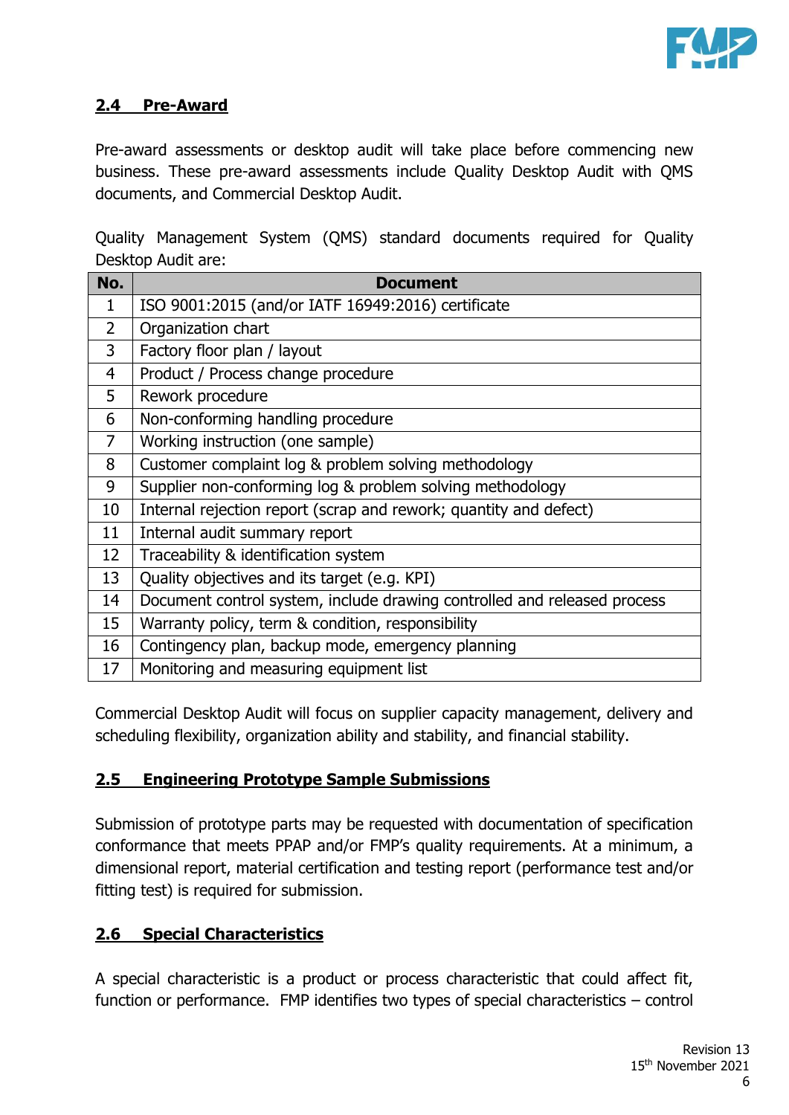

#### **2.4 Pre-Award**

Pre-award assessments or desktop audit will take place before commencing new business. These pre-award assessments include Quality Desktop Audit with QMS documents, and Commercial Desktop Audit.

Quality Management System (QMS) standard documents required for Quality Desktop Audit are:

| No.            | <b>Document</b>                                                          |
|----------------|--------------------------------------------------------------------------|
| 1              | ISO 9001:2015 (and/or IATF 16949:2016) certificate                       |
| $\overline{2}$ | Organization chart                                                       |
| 3              | Factory floor plan / layout                                              |
| 4              | Product / Process change procedure                                       |
| 5              | Rework procedure                                                         |
| 6              | Non-conforming handling procedure                                        |
| $\overline{7}$ | Working instruction (one sample)                                         |
| 8              | Customer complaint log & problem solving methodology                     |
| 9              | Supplier non-conforming log & problem solving methodology                |
| 10             | Internal rejection report (scrap and rework; quantity and defect)        |
| 11             | Internal audit summary report                                            |
| 12             | Traceability & identification system                                     |
| 13             | Quality objectives and its target (e.g. KPI)                             |
| 14             | Document control system, include drawing controlled and released process |
| 15             | Warranty policy, term & condition, responsibility                        |
| 16             | Contingency plan, backup mode, emergency planning                        |
| 17             | Monitoring and measuring equipment list                                  |

Commercial Desktop Audit will focus on supplier capacity management, delivery and scheduling flexibility, organization ability and stability, and financial stability.

#### **2.5 Engineering Prototype Sample Submissions**

Submission of prototype parts may be requested with documentation of specification conformance that meets PPAP and/or FMP's quality requirements. At a minimum, a dimensional report, material certification and testing report (performance test and/or fitting test) is required for submission.

# **2.6 Special Characteristics**

A special characteristic is a product or process characteristic that could affect fit, function or performance. FMP identifies two types of special characteristics – control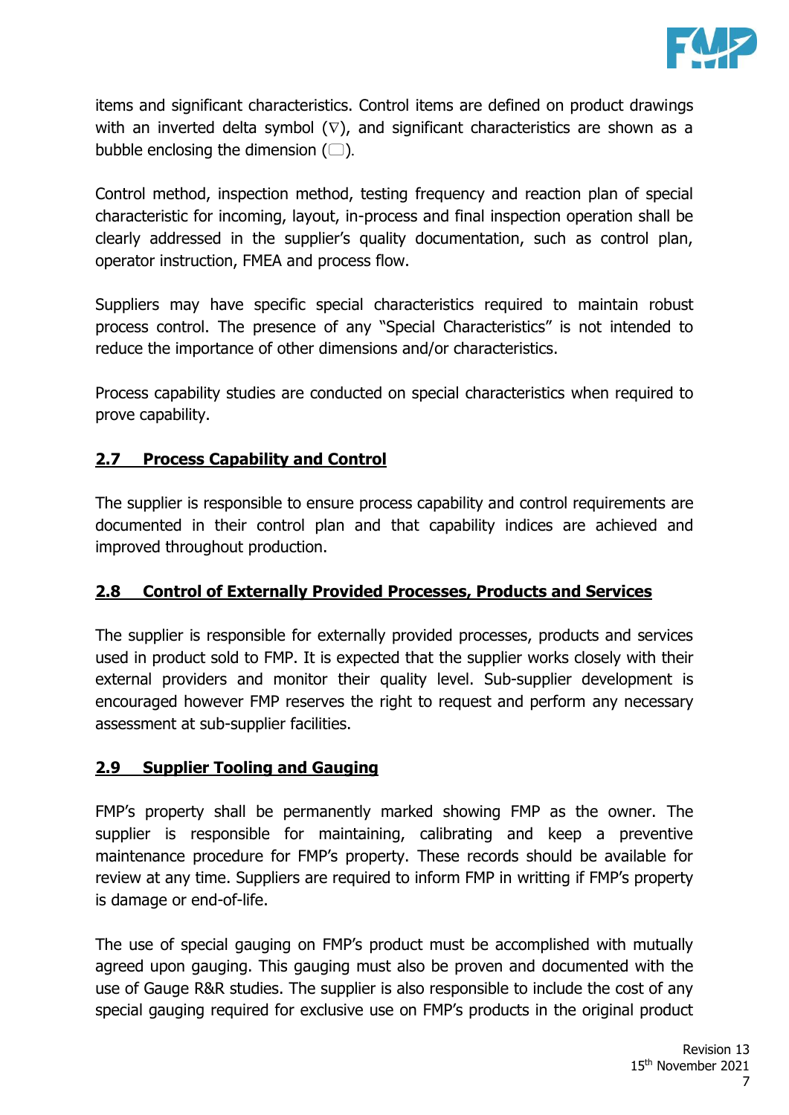

items and significant characteristics. Control items are defined on product drawings with an inverted delta symbol  $(\nabla)$ , and significant characteristics are shown as a bubble enclosing the dimension  $(\Box)$ *.* 

Control method, inspection method, testing frequency and reaction plan of special characteristic for incoming, layout, in-process and final inspection operation shall be clearly addressed in the supplier's quality documentation, such as control plan, operator instruction, FMEA and process flow.

Suppliers may have specific special characteristics required to maintain robust process control. The presence of any "Special Characteristics" is not intended to reduce the importance of other dimensions and/or characteristics.

Process capability studies are conducted on special characteristics when required to prove capability.

# **2.7 Process Capability and Control**

The supplier is responsible to ensure process capability and control requirements are documented in their control plan and that capability indices are achieved and improved throughout production.

# **2.8 Control of Externally Provided Processes, Products and Services**

The supplier is responsible for externally provided processes, products and services used in product sold to FMP. It is expected that the supplier works closely with their external providers and monitor their quality level. Sub-supplier development is encouraged however FMP reserves the right to request and perform any necessary assessment at sub-supplier facilities.

# **2.9 Supplier Tooling and Gauging**

FMP's property shall be permanently marked showing FMP as the owner. The supplier is responsible for maintaining, calibrating and keep a preventive maintenance procedure for FMP's property. These records should be available for review at any time. Suppliers are required to inform FMP in writting if FMP's property is damage or end-of-life.

The use of special gauging on FMP's product must be accomplished with mutually agreed upon gauging. This gauging must also be proven and documented with the use of Gauge R&R studies. The supplier is also responsible to include the cost of any special gauging required for exclusive use on FMP's products in the original product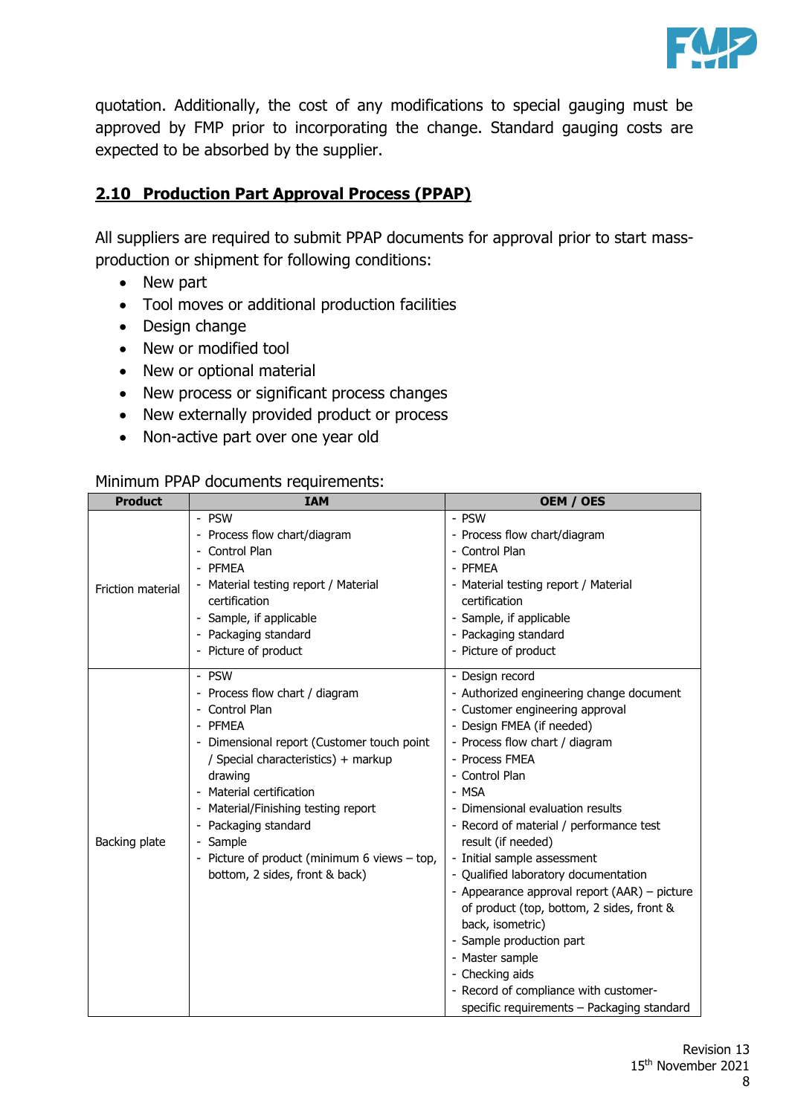

quotation. Additionally, the cost of any modifications to special gauging must be approved by FMP prior to incorporating the change. Standard gauging costs are expected to be absorbed by the supplier.

# **2.10 Production Part Approval Process (PPAP)**

All suppliers are required to submit PPAP documents for approval prior to start massproduction or shipment for following conditions:

- New part
- Tool moves or additional production facilities
- Design change
- New or modified tool
- New or optional material
- New process or significant process changes
- New externally provided product or process
- Non-active part over one year old

#### Minimum PPAP documents requirements:

| <b>Product</b>           | <b>IAM</b>                                                                                                                                                                                                                                                                                                                                                                                                 | OEM / OES                                                                                                                                                                                                                                                                                                                                                                                                                                                                                                                                                                                                                                                                                |
|--------------------------|------------------------------------------------------------------------------------------------------------------------------------------------------------------------------------------------------------------------------------------------------------------------------------------------------------------------------------------------------------------------------------------------------------|------------------------------------------------------------------------------------------------------------------------------------------------------------------------------------------------------------------------------------------------------------------------------------------------------------------------------------------------------------------------------------------------------------------------------------------------------------------------------------------------------------------------------------------------------------------------------------------------------------------------------------------------------------------------------------------|
| <b>Friction material</b> | - PSW<br>Process flow chart/diagram<br>Control Plan<br><b>PFMEA</b><br>Material testing report / Material<br>certification<br>Sample, if applicable<br>Packaging standard                                                                                                                                                                                                                                  | - PSW<br>- Process flow chart/diagram<br>- Control Plan<br>- PFMEA<br>- Material testing report / Material<br>certification<br>- Sample, if applicable<br>- Packaging standard                                                                                                                                                                                                                                                                                                                                                                                                                                                                                                           |
| Backing plate            | - Picture of product<br>- PSW<br>Process flow chart / diagram<br>Control Plan<br><b>PFMEA</b><br>- Dimensional report (Customer touch point<br>/ Special characteristics) + markup<br>drawing<br>Material certification<br>Material/Finishing testing report<br>Packaging standard<br>Sample<br>$\overline{\phantom{a}}$<br>Picture of product (minimum 6 views $-$ top,<br>bottom, 2 sides, front & back) | - Picture of product<br>- Design record<br>- Authorized engineering change document<br>- Customer engineering approval<br>- Design FMEA (if needed)<br>- Process flow chart / diagram<br>- Process FMEA<br>- Control Plan<br>- MSA<br>- Dimensional evaluation results<br>- Record of material / performance test<br>result (if needed)<br>- Initial sample assessment<br>- Qualified laboratory documentation<br>- Appearance approval report (AAR) – picture<br>of product (top, bottom, 2 sides, front &<br>back, isometric)<br>- Sample production part<br>- Master sample<br>- Checking aids<br>- Record of compliance with customer-<br>specific requirements - Packaging standard |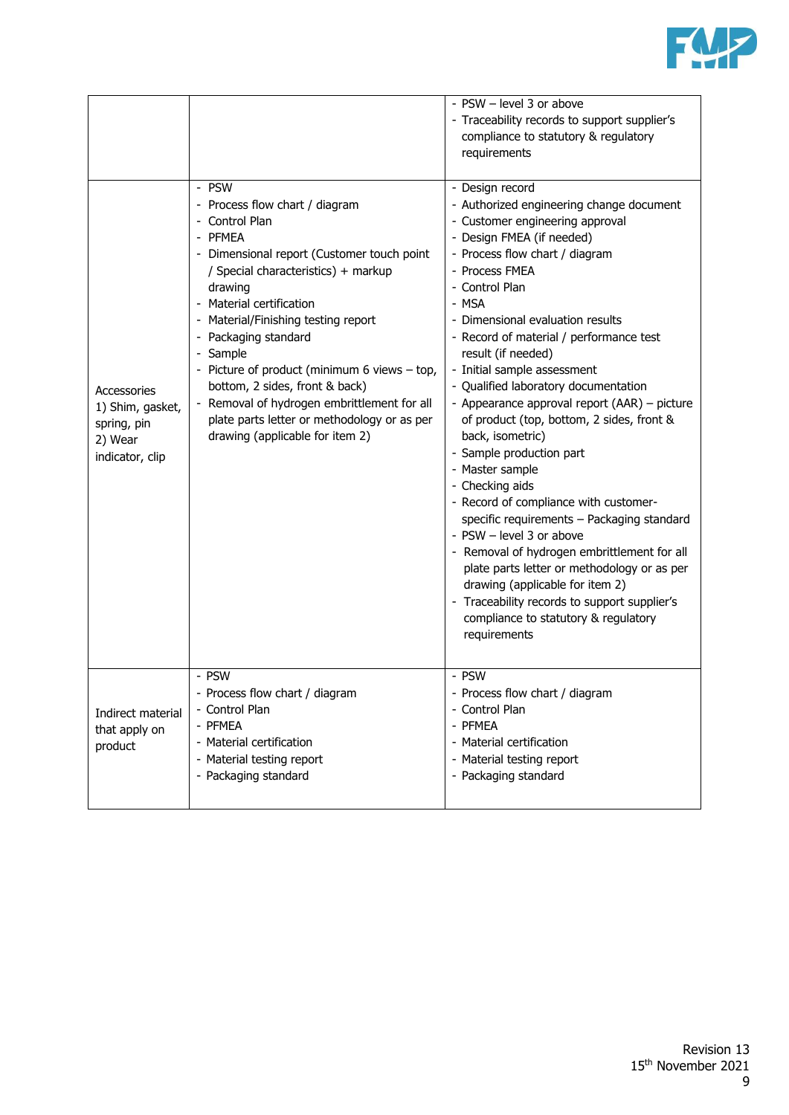

|                                                                              |                                                                                                                                                                                                                                                                                                                                                                                                                                                                                                                     | - PSW - level 3 or above<br>- Traceability records to support supplier's<br>compliance to statutory & regulatory<br>requirements                                                                                                                                                                                                                                                                                                                                                                                                                                                                                                                                                                                                                                                                                                                                                                                                      |
|------------------------------------------------------------------------------|---------------------------------------------------------------------------------------------------------------------------------------------------------------------------------------------------------------------------------------------------------------------------------------------------------------------------------------------------------------------------------------------------------------------------------------------------------------------------------------------------------------------|---------------------------------------------------------------------------------------------------------------------------------------------------------------------------------------------------------------------------------------------------------------------------------------------------------------------------------------------------------------------------------------------------------------------------------------------------------------------------------------------------------------------------------------------------------------------------------------------------------------------------------------------------------------------------------------------------------------------------------------------------------------------------------------------------------------------------------------------------------------------------------------------------------------------------------------|
| Accessories<br>1) Shim, gasket,<br>spring, pin<br>2) Wear<br>indicator, clip | - PSW<br>- Process flow chart / diagram<br>- Control Plan<br>- PFMEA<br>- Dimensional report (Customer touch point<br>/ Special characteristics) + markup<br>drawing<br>Material certification<br>Material/Finishing testing report<br>۰<br>Packaging standard<br>Sample<br>$\overline{\phantom{a}}$<br>Picture of product (minimum 6 views - top,<br>bottom, 2 sides, front & back)<br>Removal of hydrogen embrittlement for all<br>plate parts letter or methodology or as per<br>drawing (applicable for item 2) | - Design record<br>- Authorized engineering change document<br>- Customer engineering approval<br>- Design FMEA (if needed)<br>- Process flow chart / diagram<br>- Process FMEA<br>- Control Plan<br>- MSA<br>- Dimensional evaluation results<br>- Record of material / performance test<br>result (if needed)<br>- Initial sample assessment<br>- Qualified laboratory documentation<br>- Appearance approval report (AAR) - picture<br>of product (top, bottom, 2 sides, front &<br>back, isometric)<br>- Sample production part<br>- Master sample<br>- Checking aids<br>- Record of compliance with customer-<br>specific requirements - Packaging standard<br>- PSW - level 3 or above<br>- Removal of hydrogen embrittlement for all<br>plate parts letter or methodology or as per<br>drawing (applicable for item 2)<br>- Traceability records to support supplier's<br>compliance to statutory & regulatory<br>requirements |
| Indirect material<br>that apply on<br>product                                | - PSW<br>- Process flow chart / diagram<br>- Control Plan<br>- PFMEA<br>- Material certification<br>- Material testing report<br>- Packaging standard                                                                                                                                                                                                                                                                                                                                                               | - PSW<br>- Process flow chart / diagram<br>- Control Plan<br>- PFMEA<br>- Material certification<br>- Material testing report<br>- Packaging standard                                                                                                                                                                                                                                                                                                                                                                                                                                                                                                                                                                                                                                                                                                                                                                                 |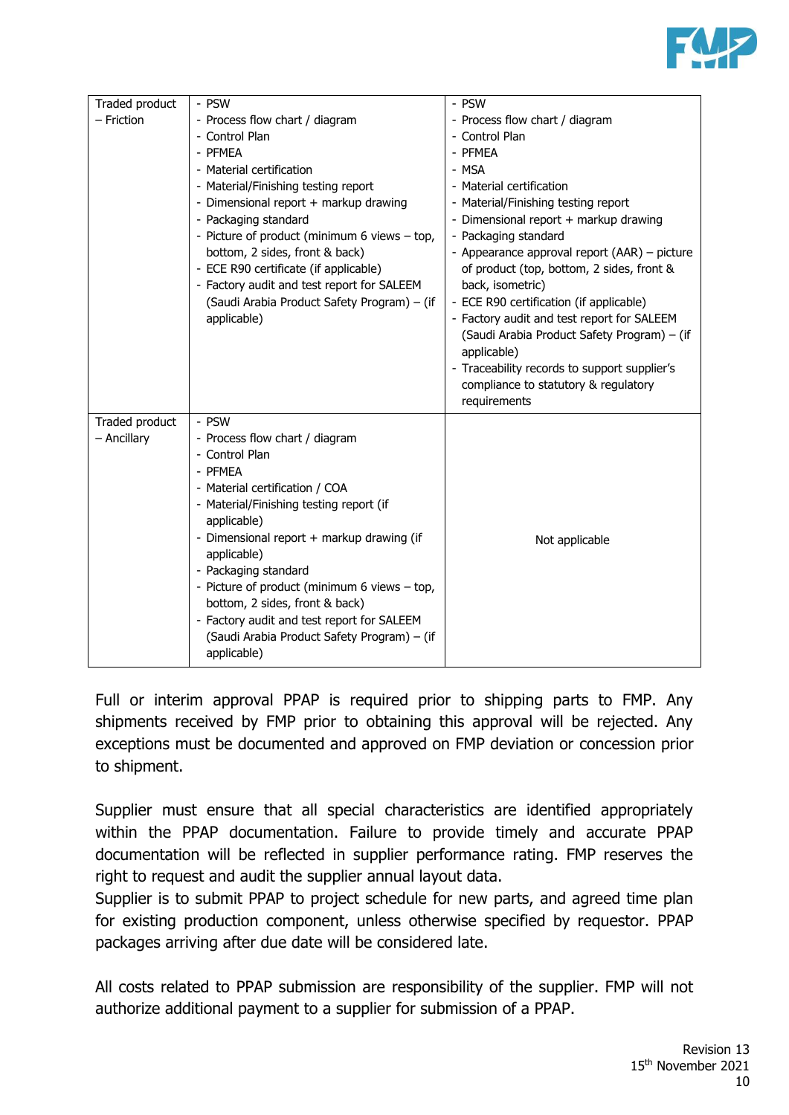

| Traded product | - PSW                                                                   | - PSW                                                         |
|----------------|-------------------------------------------------------------------------|---------------------------------------------------------------|
| - Friction     | - Process flow chart / diagram                                          | - Process flow chart / diagram                                |
|                | - Control Plan                                                          | - Control Plan                                                |
|                | - PFMEA                                                                 | - PFMEA                                                       |
|                | - Material certification                                                | - MSA                                                         |
|                | - Material/Finishing testing report                                     | - Material certification                                      |
|                | - Dimensional report + markup drawing                                   | - Material/Finishing testing report                           |
|                | - Packaging standard                                                    | - Dimensional report + markup drawing                         |
|                | - Picture of product (minimum 6 views - top,                            | - Packaging standard                                          |
|                | bottom, 2 sides, front & back)<br>- ECE R90 certificate (if applicable) | - Appearance approval report (AAR) - picture                  |
|                | - Factory audit and test report for SALEEM                              | of product (top, bottom, 2 sides, front &<br>back, isometric) |
|                | (Saudi Arabia Product Safety Program) - (if                             | - ECE R90 certification (if applicable)                       |
|                | applicable)                                                             | - Factory audit and test report for SALEEM                    |
|                |                                                                         | (Saudi Arabia Product Safety Program) - (if                   |
|                |                                                                         | applicable)                                                   |
|                |                                                                         | - Traceability records to support supplier's                  |
|                |                                                                         | compliance to statutory & regulatory                          |
|                |                                                                         | requirements                                                  |
| Traded product | - PSW                                                                   |                                                               |
| - Ancillary    | - Process flow chart / diagram                                          |                                                               |
|                | - Control Plan                                                          |                                                               |
|                | - PFMEA                                                                 |                                                               |
|                | - Material certification / COA                                          |                                                               |
|                | - Material/Finishing testing report (if                                 |                                                               |
|                | applicable)                                                             |                                                               |
|                | - Dimensional report + markup drawing (if                               | Not applicable                                                |
|                | applicable)                                                             |                                                               |
|                | - Packaging standard                                                    |                                                               |
|                | - Picture of product (minimum 6 views - top,                            |                                                               |
|                | bottom, 2 sides, front & back)                                          |                                                               |
|                | - Factory audit and test report for SALEEM                              |                                                               |
|                | (Saudi Arabia Product Safety Program) - (if                             |                                                               |
|                | applicable)                                                             |                                                               |

Full or interim approval PPAP is required prior to shipping parts to FMP. Any shipments received by FMP prior to obtaining this approval will be rejected. Any exceptions must be documented and approved on FMP deviation or concession prior to shipment.

Supplier must ensure that all special characteristics are identified appropriately within the PPAP documentation. Failure to provide timely and accurate PPAP documentation will be reflected in supplier performance rating. FMP reserves the right to request and audit the supplier annual layout data.

Supplier is to submit PPAP to project schedule for new parts, and agreed time plan for existing production component, unless otherwise specified by requestor. PPAP packages arriving after due date will be considered late.

All costs related to PPAP submission are responsibility of the supplier. FMP will not authorize additional payment to a supplier for submission of a PPAP.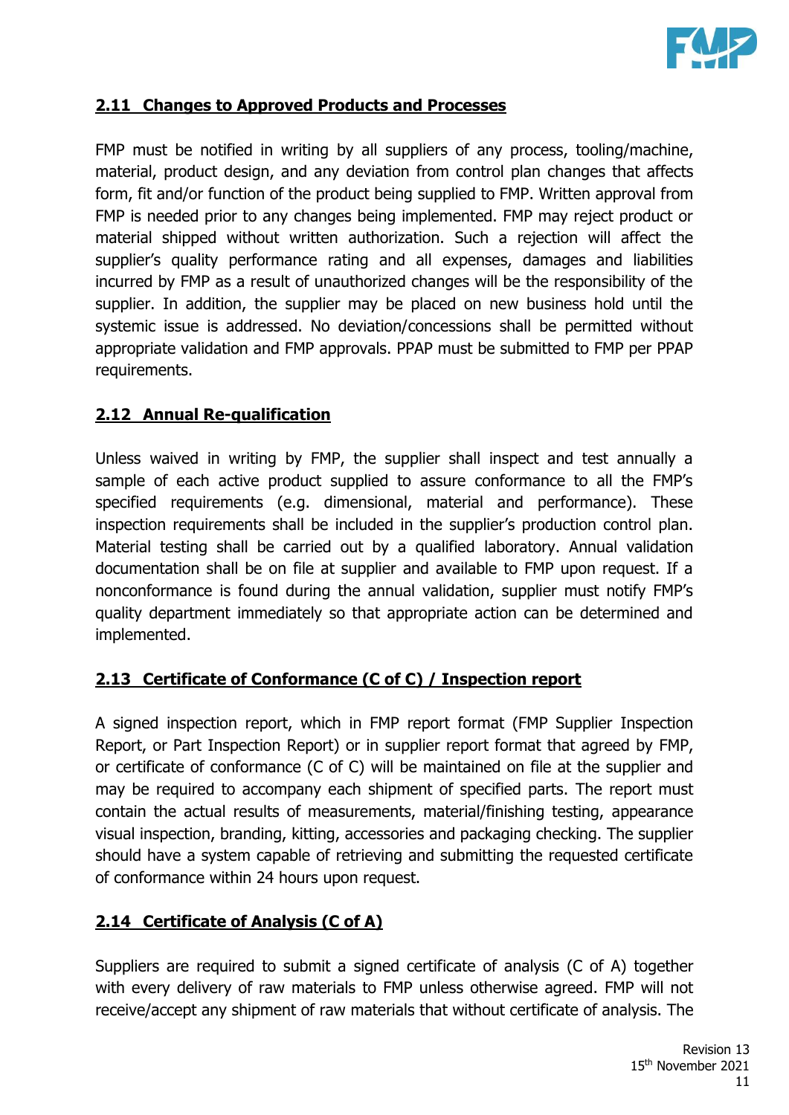

#### **2.11 Changes to Approved Products and Processes**

FMP must be notified in writing by all suppliers of any process, tooling/machine, material, product design, and any deviation from control plan changes that affects form, fit and/or function of the product being supplied to FMP. Written approval from FMP is needed prior to any changes being implemented. FMP may reject product or material shipped without written authorization. Such a rejection will affect the supplier's quality performance rating and all expenses, damages and liabilities incurred by FMP as a result of unauthorized changes will be the responsibility of the supplier. In addition, the supplier may be placed on new business hold until the systemic issue is addressed. No deviation/concessions shall be permitted without appropriate validation and FMP approvals. PPAP must be submitted to FMP per PPAP requirements.

#### **2.12 Annual Re-qualification**

Unless waived in writing by FMP, the supplier shall inspect and test annually a sample of each active product supplied to assure conformance to all the FMP's specified requirements (e.g. dimensional, material and performance). These inspection requirements shall be included in the supplier's production control plan. Material testing shall be carried out by a qualified laboratory. Annual validation documentation shall be on file at supplier and available to FMP upon request. If a nonconformance is found during the annual validation, supplier must notify FMP's quality department immediately so that appropriate action can be determined and implemented.

# **2.13 Certificate of Conformance (C of C) / Inspection report**

A signed inspection report, which in FMP report format (FMP Supplier Inspection Report, or Part Inspection Report) or in supplier report format that agreed by FMP, or certificate of conformance (C of C) will be maintained on file at the supplier and may be required to accompany each shipment of specified parts. The report must contain the actual results of measurements, material/finishing testing, appearance visual inspection, branding, kitting, accessories and packaging checking. The supplier should have a system capable of retrieving and submitting the requested certificate of conformance within 24 hours upon request.

# **2.14 Certificate of Analysis (C of A)**

Suppliers are required to submit a signed certificate of analysis (C of A) together with every delivery of raw materials to FMP unless otherwise agreed. FMP will not receive/accept any shipment of raw materials that without certificate of analysis. The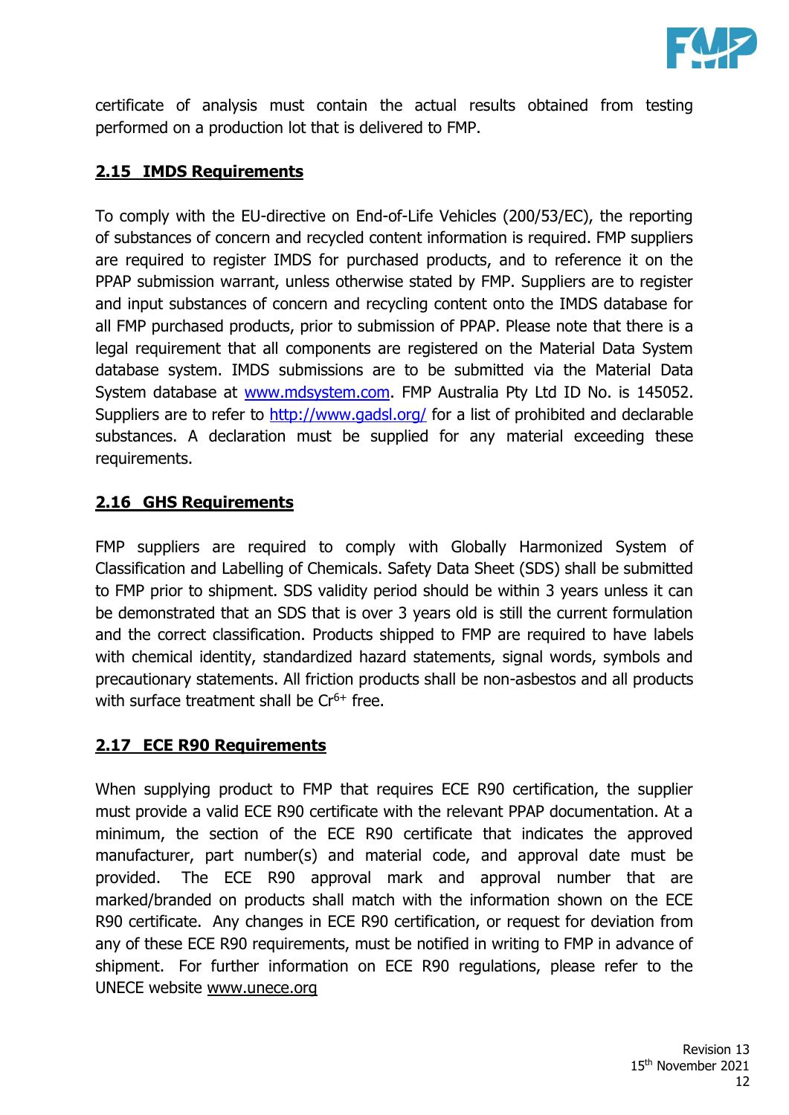

certificate of analysis must contain the actual results obtained from testing performed on a production lot that is delivered to FMP.

# **2.15 IMDS Requirements**

To comply with the EU-directive on End-of-Life Vehicles (200/53/EC), the reporting of substances of concern and recycled content information is required. FMP suppliers are required to register IMDS for purchased products, and to reference it on the PPAP submission warrant, unless otherwise stated by FMP. Suppliers are to register and input substances of concern and recycling content onto the IMDS database for all FMP purchased products, prior to submission of PPAP. Please note that there is a legal requirement that all components are registered on the Material Data System database system. IMDS submissions are to be submitted via the Material Data System database at [www.mdsystem.com.](http://www.mdsystem.com/) FMP Australia Pty Ltd ID No. is 145052. Suppliers are to refer to<http://www.gadsl.org/> for a list of prohibited and declarable substances. A declaration must be supplied for any material exceeding these requirements.

#### **2.16 GHS Requirements**

FMP suppliers are required to comply with Globally Harmonized System of Classification and Labelling of Chemicals. Safety Data Sheet (SDS) shall be submitted to FMP prior to shipment. SDS validity period should be within 3 years unless it can be demonstrated that an SDS that is over 3 years old is still the current formulation and the correct classification. Products shipped to FMP are required to have labels with chemical identity, standardized hazard statements, signal words, symbols and precautionary statements. All friction products shall be non-asbestos and all products with surface treatment shall be  $Cr^{6+}$  free.

# **2.17 ECE R90 Requirements**

When supplying product to FMP that requires ECE R90 certification, the supplier must provide a valid ECE R90 certificate with the relevant PPAP documentation. At a minimum, the section of the ECE R90 certificate that indicates the approved manufacturer, part number(s) and material code, and approval date must be provided. The ECE R90 approval mark and approval number that are marked/branded on products shall match with the information shown on the ECE R90 certificate. Any changes in ECE R90 certification, or request for deviation from any of these ECE R90 requirements, must be notified in writing to FMP in advance of shipment. For further information on ECE R90 regulations, please refer to the UNECE website [www.unece.org](http://www.unece.org/)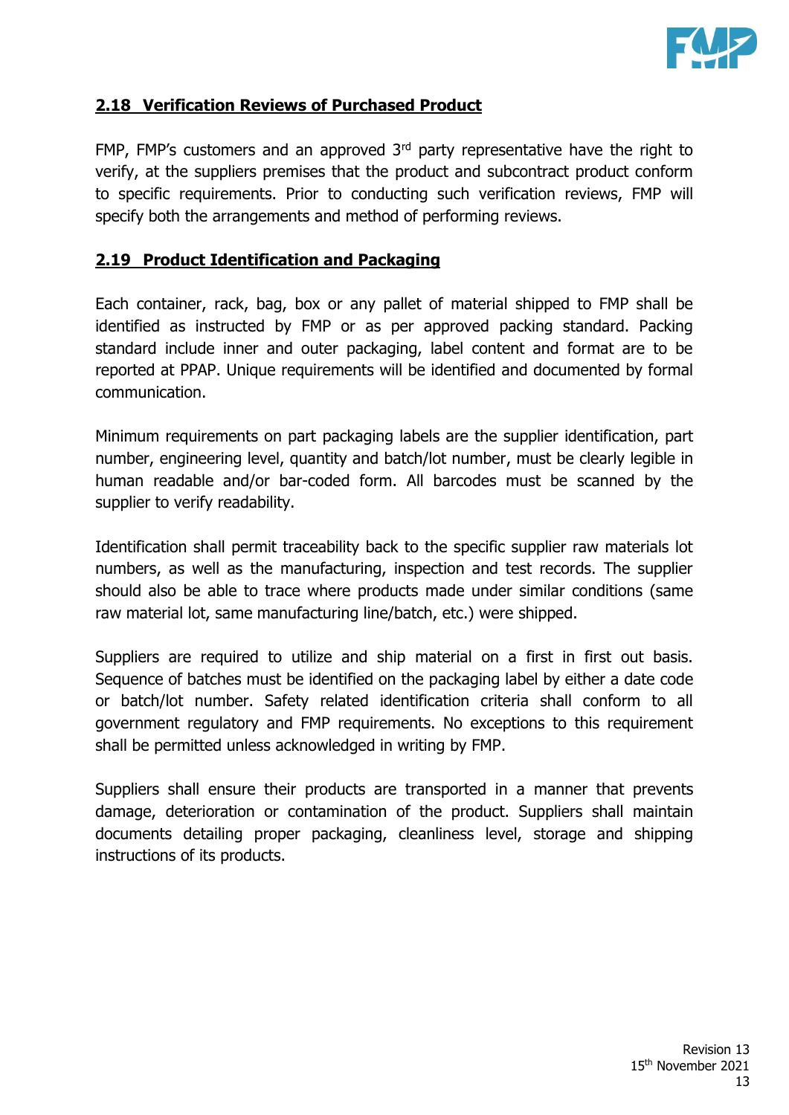

#### **2.18 Verification Reviews of Purchased Product**

FMP, FMP's customers and an approved  $3<sup>rd</sup>$  party representative have the right to verify, at the suppliers premises that the product and subcontract product conform to specific requirements. Prior to conducting such verification reviews, FMP will specify both the arrangements and method of performing reviews.

#### **2.19 Product Identification and Packaging**

Each container, rack, bag, box or any pallet of material shipped to FMP shall be identified as instructed by FMP or as per approved packing standard. Packing standard include inner and outer packaging, label content and format are to be reported at PPAP. Unique requirements will be identified and documented by formal communication.

Minimum requirements on part packaging labels are the supplier identification, part number, engineering level, quantity and batch/lot number, must be clearly legible in human readable and/or bar-coded form. All barcodes must be scanned by the supplier to verify readability.

Identification shall permit traceability back to the specific supplier raw materials lot numbers, as well as the manufacturing, inspection and test records. The supplier should also be able to trace where products made under similar conditions (same raw material lot, same manufacturing line/batch, etc.) were shipped.

Suppliers are required to utilize and ship material on a first in first out basis. Sequence of batches must be identified on the packaging label by either a date code or batch/lot number. Safety related identification criteria shall conform to all government regulatory and FMP requirements. No exceptions to this requirement shall be permitted unless acknowledged in writing by FMP.

Suppliers shall ensure their products are transported in a manner that prevents damage, deterioration or contamination of the product. Suppliers shall maintain documents detailing proper packaging, cleanliness level, storage and shipping instructions of its products.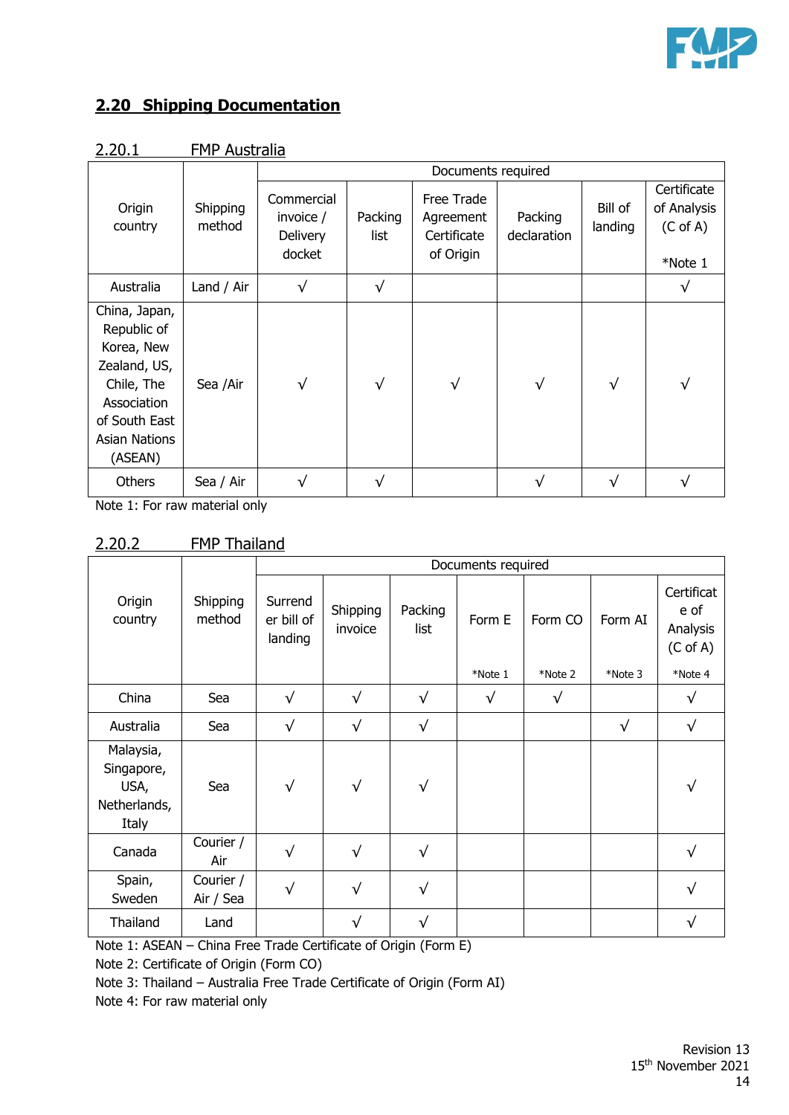

#### **2.20 Shipping Documentation**

|                                                                                                                                      |                    | Documents required                            |                 |                                                     |                        |                    |                                                              |  |
|--------------------------------------------------------------------------------------------------------------------------------------|--------------------|-----------------------------------------------|-----------------|-----------------------------------------------------|------------------------|--------------------|--------------------------------------------------------------|--|
| Origin<br>country                                                                                                                    | Shipping<br>method | Commercial<br>invoice /<br>Delivery<br>docket | Packing<br>list | Free Trade<br>Agreement<br>Certificate<br>of Origin | Packing<br>declaration | Bill of<br>landing | Certificate<br>of Analysis<br>$(C \text{ of } A)$<br>*Note 1 |  |
| Australia                                                                                                                            | Land / Air         | $\sqrt{}$                                     | $\sqrt{}$       |                                                     |                        |                    | $\sqrt{}$                                                    |  |
| China, Japan,<br>Republic of<br>Korea, New<br>Zealand, US,<br>Chile, The<br>Association<br>of South East<br>Asian Nations<br>(ASEAN) | Sea /Air           | $\sqrt{}$                                     | $\sqrt{}$       | $\sqrt{}$                                           | $\sqrt{ }$             | $\sqrt{}$          | √                                                            |  |
| Others                                                                                                                               | Sea / Air          |                                               | v               |                                                     | $\mathbf{v}$           | $\sqrt{}$          | √                                                            |  |

2.20.1 FMP Australia

Note 1: For raw material only

#### 2.20.2 FMP Thailand

|                                                          |                        | Documents required               |                     |                 |           |           |            |                                                       |
|----------------------------------------------------------|------------------------|----------------------------------|---------------------|-----------------|-----------|-----------|------------|-------------------------------------------------------|
| Origin<br>country                                        | Shipping<br>method     | Surrend<br>er bill of<br>landing | Shipping<br>invoice | Packing<br>list | Form E    | Form CO   | Form AI    | Certificat<br>e of<br>Analysis<br>$(C \text{ of } A)$ |
|                                                          |                        |                                  |                     |                 | *Note 1   | *Note 2   | *Note 3    | *Note 4                                               |
| China                                                    | Sea                    | $\sqrt{}$                        | $\sqrt{}$           | $\sqrt{}$       | $\sqrt{}$ | $\sqrt{}$ |            | $\sqrt{}$                                             |
| Australia                                                | Sea                    | $\sqrt{}$                        | $\sqrt{}$           | $\sqrt{}$       |           |           | $\sqrt{ }$ | $\sqrt{}$                                             |
| Malaysia,<br>Singapore,<br>USA,<br>Netherlands,<br>Italy | Sea                    | $\sqrt{}$                        | $\sqrt{}$           | $\sqrt{}$       |           |           |            | √                                                     |
| Canada                                                   | Courier /<br>Air       | $\sqrt{}$                        | $\sqrt{ }$          | $\sqrt{}$       |           |           |            | $\sqrt{}$                                             |
| Spain,<br>Sweden                                         | Courier /<br>Air / Sea | $\sqrt{}$                        | $\sqrt{}$           | $\sqrt{}$       |           |           |            | $\sqrt{}$                                             |
| Thailand                                                 | Land                   |                                  | √                   | √               |           |           |            | √                                                     |

Note 1: ASEAN – China Free Trade Certificate of Origin (Form E)

Note 2: Certificate of Origin (Form CO)

Note 3: Thailand – Australia Free Trade Certificate of Origin (Form AI)

Note 4: For raw material only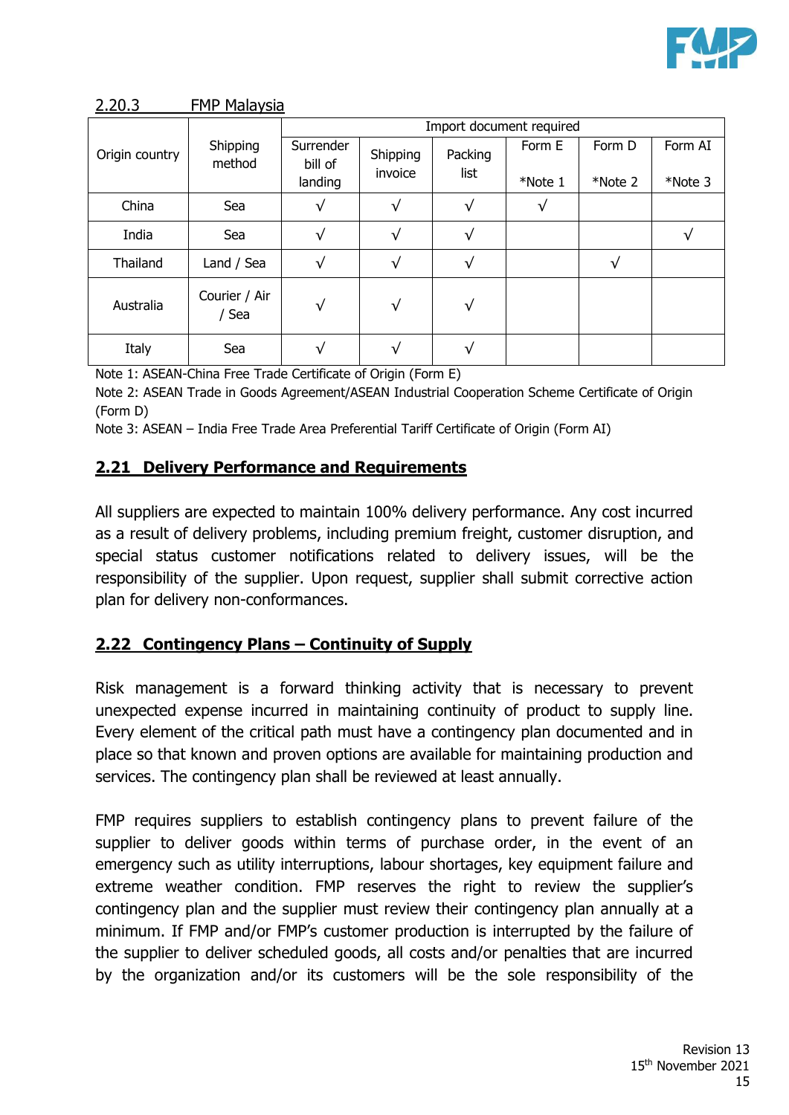

|                |                      | Import document required        |                     |                 |                   |                   |                    |  |
|----------------|----------------------|---------------------------------|---------------------|-----------------|-------------------|-------------------|--------------------|--|
| Origin country | Shipping<br>method   | Surrender<br>bill of<br>landing | Shipping<br>invoice | Packing<br>list | Form E<br>*Note 1 | Form D<br>*Note 2 | Form AI<br>*Note 3 |  |
| China          | Sea                  |                                 | √                   | $\sqrt{}$       |                   |                   |                    |  |
| India          | Sea                  | √                               | $\sqrt{ }$          | $\sqrt{}$       |                   |                   | v                  |  |
| Thailand       | Land / Sea           | √                               | $\sqrt{}$           | $\sqrt{}$       |                   | √                 |                    |  |
| Australia      | Courier / Air<br>Sea | $\sqrt{}$                       | $\sqrt{}$           | $\sqrt{}$       |                   |                   |                    |  |
| Italy          | Sea                  |                                 | $\sqrt{ }$          | $\sqrt{ }$      |                   |                   |                    |  |

2.20.3 FMP Malaysia

Note 1: ASEAN-China Free Trade Certificate of Origin (Form E)

Note 2: ASEAN Trade in Goods Agreement/ASEAN Industrial Cooperation Scheme Certificate of Origin (Form D)

Note 3: ASEAN – India Free Trade Area Preferential Tariff Certificate of Origin (Form AI)

#### **2.21 Delivery Performance and Requirements**

All suppliers are expected to maintain 100% delivery performance. Any cost incurred as a result of delivery problems, including premium freight, customer disruption, and special status customer notifications related to delivery issues, will be the responsibility of the supplier. Upon request, supplier shall submit corrective action plan for delivery non-conformances.

#### **2.22 Contingency Plans – Continuity of Supply**

Risk management is a forward thinking activity that is necessary to prevent unexpected expense incurred in maintaining continuity of product to supply line. Every element of the critical path must have a contingency plan documented and in place so that known and proven options are available for maintaining production and services. The contingency plan shall be reviewed at least annually.

FMP requires suppliers to establish contingency plans to prevent failure of the supplier to deliver goods within terms of purchase order, in the event of an emergency such as utility interruptions, labour shortages, key equipment failure and extreme weather condition. FMP reserves the right to review the supplier's contingency plan and the supplier must review their contingency plan annually at a minimum. If FMP and/or FMP's customer production is interrupted by the failure of the supplier to deliver scheduled goods, all costs and/or penalties that are incurred by the organization and/or its customers will be the sole responsibility of the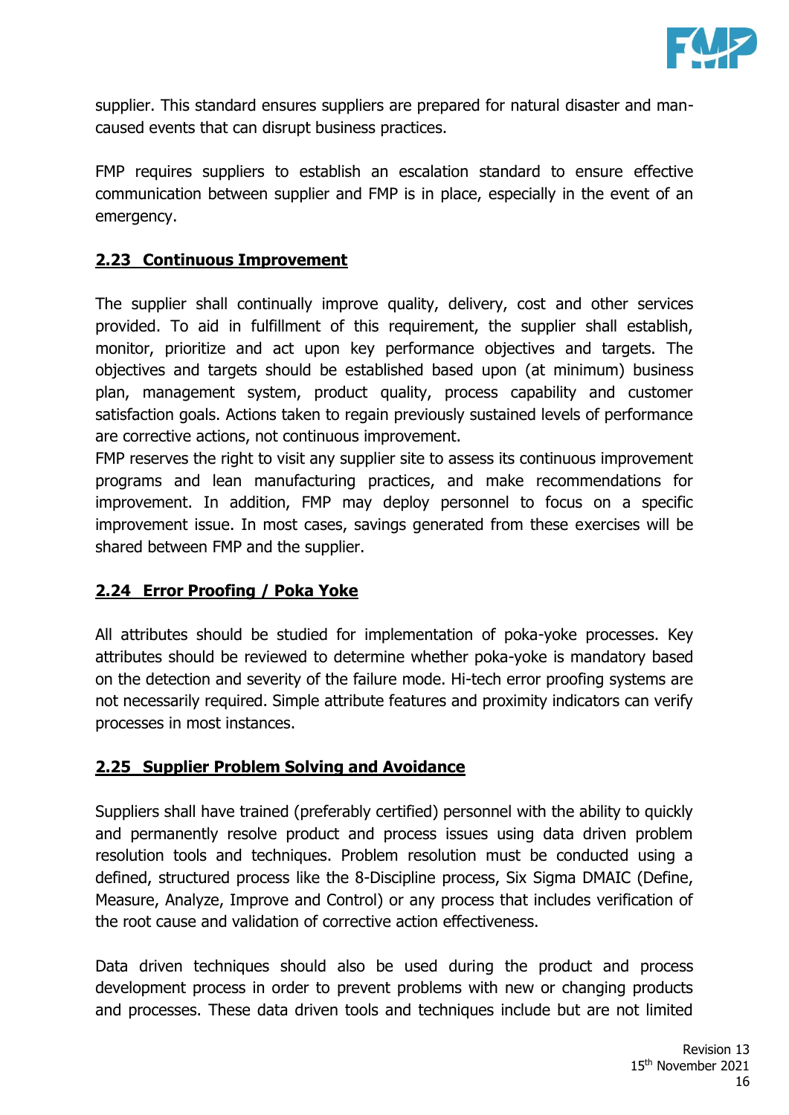

supplier. This standard ensures suppliers are prepared for natural disaster and mancaused events that can disrupt business practices.

FMP requires suppliers to establish an escalation standard to ensure effective communication between supplier and FMP is in place, especially in the event of an emergency.

#### **2.23 Continuous Improvement**

The supplier shall continually improve quality, delivery, cost and other services provided. To aid in fulfillment of this requirement, the supplier shall establish, monitor, prioritize and act upon key performance objectives and targets. The objectives and targets should be established based upon (at minimum) business plan, management system, product quality, process capability and customer satisfaction goals. Actions taken to regain previously sustained levels of performance are corrective actions, not continuous improvement.

FMP reserves the right to visit any supplier site to assess its continuous improvement programs and lean manufacturing practices, and make recommendations for improvement. In addition, FMP may deploy personnel to focus on a specific improvement issue. In most cases, savings generated from these exercises will be shared between FMP and the supplier.

#### **2.24 Error Proofing / Poka Yoke**

All attributes should be studied for implementation of poka-yoke processes. Key attributes should be reviewed to determine whether poka-yoke is mandatory based on the detection and severity of the failure mode. Hi-tech error proofing systems are not necessarily required. Simple attribute features and proximity indicators can verify processes in most instances.

#### **2.25 Supplier Problem Solving and Avoidance**

Suppliers shall have trained (preferably certified) personnel with the ability to quickly and permanently resolve product and process issues using data driven problem resolution tools and techniques. Problem resolution must be conducted using a defined, structured process like the 8-Discipline process, Six Sigma DMAIC (Define, Measure, Analyze, Improve and Control) or any process that includes verification of the root cause and validation of corrective action effectiveness.

Data driven techniques should also be used during the product and process development process in order to prevent problems with new or changing products and processes. These data driven tools and techniques include but are not limited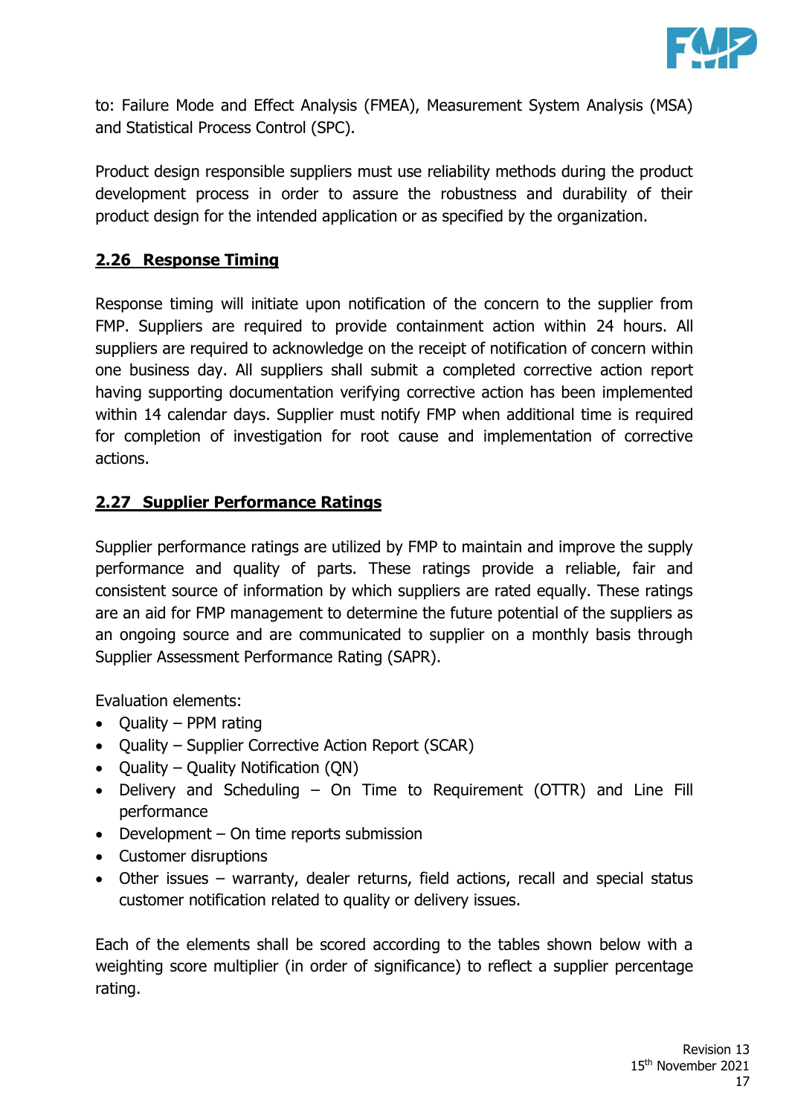

to: Failure Mode and Effect Analysis (FMEA), Measurement System Analysis (MSA) and Statistical Process Control (SPC).

Product design responsible suppliers must use reliability methods during the product development process in order to assure the robustness and durability of their product design for the intended application or as specified by the organization.

#### **2.26 Response Timing**

Response timing will initiate upon notification of the concern to the supplier from FMP. Suppliers are required to provide containment action within 24 hours. All suppliers are required to acknowledge on the receipt of notification of concern within one business day. All suppliers shall submit a completed corrective action report having supporting documentation verifying corrective action has been implemented within 14 calendar days. Supplier must notify FMP when additional time is required for completion of investigation for root cause and implementation of corrective actions.

#### **2.27 Supplier Performance Ratings**

Supplier performance ratings are utilized by FMP to maintain and improve the supply performance and quality of parts. These ratings provide a reliable, fair and consistent source of information by which suppliers are rated equally. These ratings are an aid for FMP management to determine the future potential of the suppliers as an ongoing source and are communicated to supplier on a monthly basis through Supplier Assessment Performance Rating (SAPR).

Evaluation elements:

- Quality PPM rating
- Quality Supplier Corrective Action Report (SCAR)
- Quality Quality Notification (QN)
- Delivery and Scheduling On Time to Requirement (OTTR) and Line Fill performance
- Development On time reports submission
- Customer disruptions
- Other issues warranty, dealer returns, field actions, recall and special status customer notification related to quality or delivery issues.

Each of the elements shall be scored according to the tables shown below with a weighting score multiplier (in order of significance) to reflect a supplier percentage rating.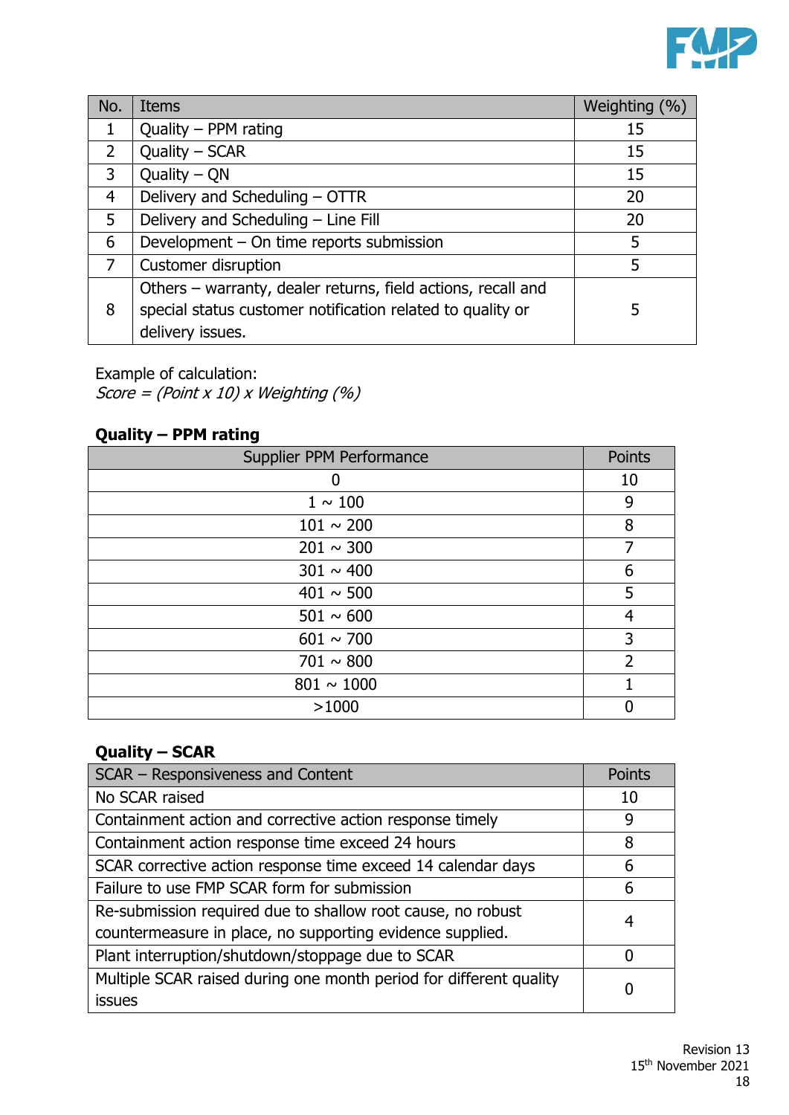

| No.            | <b>Items</b>                                                 | Weighting (%) |
|----------------|--------------------------------------------------------------|---------------|
| 1              | Quality - PPM rating                                         | 15            |
| $2^{\circ}$    | Quality - SCAR                                               | 15            |
| 3              | Quality $-$ QN                                               | 15            |
| 4              | Delivery and Scheduling - OTTR                               | 20            |
| 5              | Delivery and Scheduling - Line Fill                          | 20            |
| 6              | Development - On time reports submission                     | 5             |
| $\overline{7}$ | Customer disruption                                          | 5             |
|                | Others – warranty, dealer returns, field actions, recall and |               |
| 8              | special status customer notification related to quality or   | 5             |
|                | delivery issues.                                             |               |

Example of calculation:

Score = (Point x 10) x Weighting  $(%)$ 

# **Quality – PPM rating**

| Supplier PPM Performance | Points         |
|--------------------------|----------------|
| 0                        | 10             |
| $1 \sim 100$             | 9              |
| $101 \sim 200$           | 8              |
| $201 \sim 300$           | 7              |
| $301 \sim 400$           | 6              |
| $401 \sim 500$           | 5              |
| $501 \sim 600$           | 4              |
| $601 \sim 700$           | 3              |
| $701 \sim 800$           | $\overline{2}$ |
| $801 \sim 1000$          |                |
| >1000                    | Ŋ              |

# **Quality – SCAR**

| SCAR - Responsiveness and Content                                  | Points |
|--------------------------------------------------------------------|--------|
| No SCAR raised                                                     | 10     |
| Containment action and corrective action response timely           | 9      |
| Containment action response time exceed 24 hours                   | 8      |
| SCAR corrective action response time exceed 14 calendar days       | 6      |
| Failure to use FMP SCAR form for submission                        | 6      |
| Re-submission required due to shallow root cause, no robust        | 4      |
| countermeasure in place, no supporting evidence supplied.          |        |
| Plant interruption/shutdown/stoppage due to SCAR                   | 0      |
| Multiple SCAR raised during one month period for different quality |        |
| <b>issues</b>                                                      |        |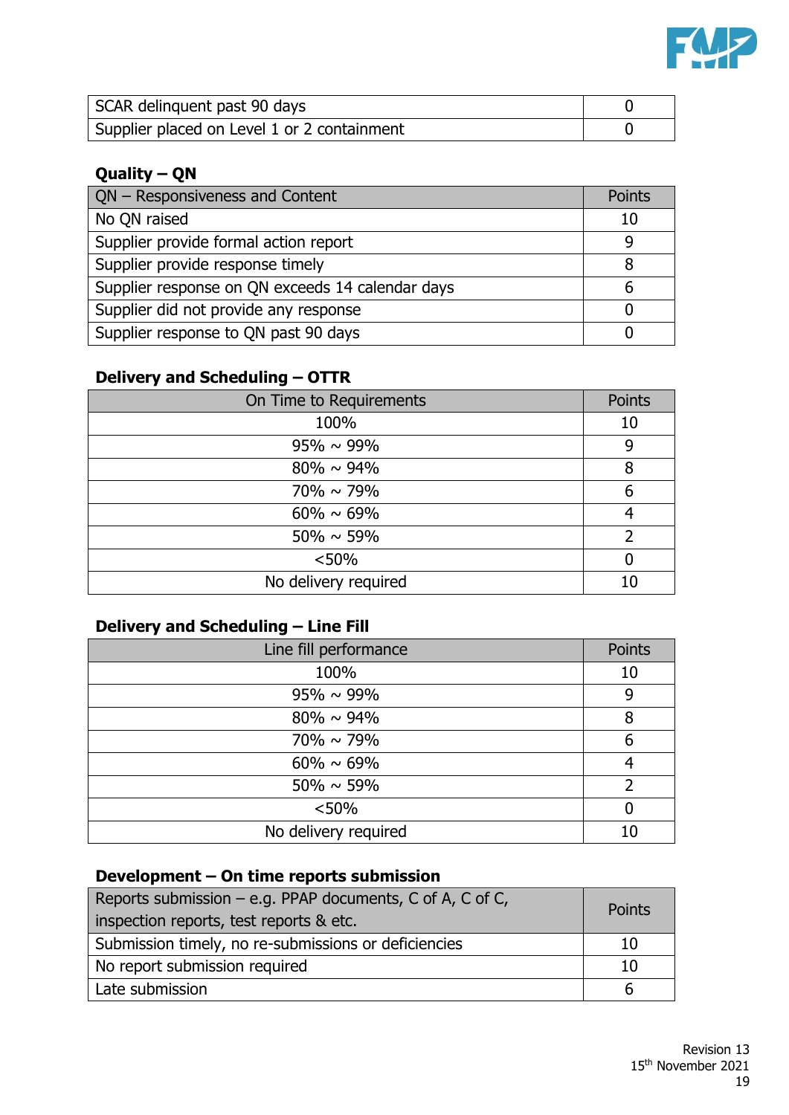

| SCAR delinquent past 90 days                |  |
|---------------------------------------------|--|
| Supplier placed on Level 1 or 2 containment |  |

# **Quality – QN**

| QN - Responsiveness and Content                  | Points |
|--------------------------------------------------|--------|
| No QN raised                                     | 10     |
| Supplier provide formal action report            |        |
| Supplier provide response timely                 | 8      |
| Supplier response on QN exceeds 14 calendar days | b      |
| Supplier did not provide any response            |        |
| Supplier response to QN past 90 days             |        |

# **Delivery and Scheduling – OTTR**

| On Time to Requirements | Points |
|-------------------------|--------|
| 100%                    | 10     |
| $95\% \sim 99\%$        | 9      |
| $80\% \sim 94\%$        | 8      |
| $70\% \sim 79\%$        | 6      |
| $60\% \sim 69\%$        |        |
| $50\% \sim 59\%$        |        |
| < 50%                   |        |
| No delivery required    | 10     |

# **Delivery and Scheduling – Line Fill**

| Line fill performance | Points |
|-----------------------|--------|
| 100%                  | 10     |
| $95\% \sim 99\%$      | 9      |
| $80\% \sim 94\%$      | 8      |
| $70\% \sim 79\%$      | 6      |
| $60\% \sim 69\%$      |        |
| $50\% \sim 59\%$      |        |
| < 50%                 |        |
| No delivery required  |        |

# **Development – On time reports submission**

| Reports submission – e.g. PPAP documents, C of A, C of C,<br>inspection reports, test reports & etc. |    |
|------------------------------------------------------------------------------------------------------|----|
| Submission timely, no re-submissions or deficiencies                                                 | 10 |
| No report submission required                                                                        | 10 |
| Late submission                                                                                      |    |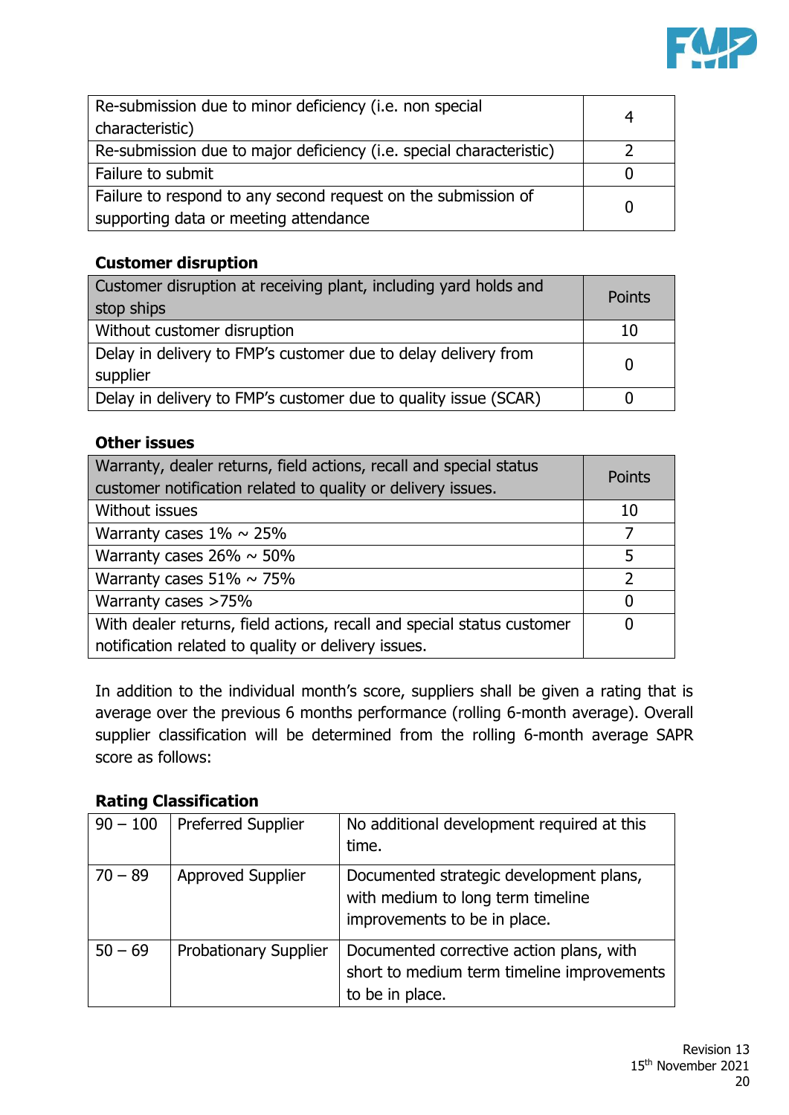

| Re-submission due to minor deficiency (i.e. non special<br>characteristic) |  |
|----------------------------------------------------------------------------|--|
| Re-submission due to major deficiency (i.e. special characteristic)        |  |
| Failure to submit                                                          |  |
| Failure to respond to any second request on the submission of              |  |
| supporting data or meeting attendance                                      |  |

# **Customer disruption**

| Customer disruption at receiving plant, including yard holds and<br>stop ships | Points |
|--------------------------------------------------------------------------------|--------|
| Without customer disruption                                                    | 10     |
| Delay in delivery to FMP's customer due to delay delivery from<br>supplier     |        |
| Delay in delivery to FMP's customer due to quality issue (SCAR)                |        |

#### **Other issues**

| Warranty, dealer returns, field actions, recall and special status<br>customer notification related to quality or delivery issues. | Points |
|------------------------------------------------------------------------------------------------------------------------------------|--------|
| Without issues                                                                                                                     | 10     |
| Warranty cases $1\% \sim 25\%$                                                                                                     | 7      |
| Warranty cases $26\% \sim 50\%$                                                                                                    | 5      |
| Warranty cases $51\% \sim 75\%$                                                                                                    | っ      |
| Warranty cases >75%                                                                                                                | 0      |
| With dealer returns, field actions, recall and special status customer                                                             | n      |
| notification related to quality or delivery issues.                                                                                |        |

In addition to the individual month's score, suppliers shall be given a rating that is average over the previous 6 months performance (rolling 6-month average). Overall supplier classification will be determined from the rolling 6-month average SAPR score as follows:

#### **Rating Classification**

| $90 - 100$ | <b>Preferred Supplier</b>    | No additional development required at this<br>time.                                                          |
|------------|------------------------------|--------------------------------------------------------------------------------------------------------------|
| $70 - 89$  | <b>Approved Supplier</b>     | Documented strategic development plans,<br>with medium to long term timeline<br>improvements to be in place. |
| $50 - 69$  | <b>Probationary Supplier</b> | Documented corrective action plans, with<br>short to medium term timeline improvements<br>to be in place.    |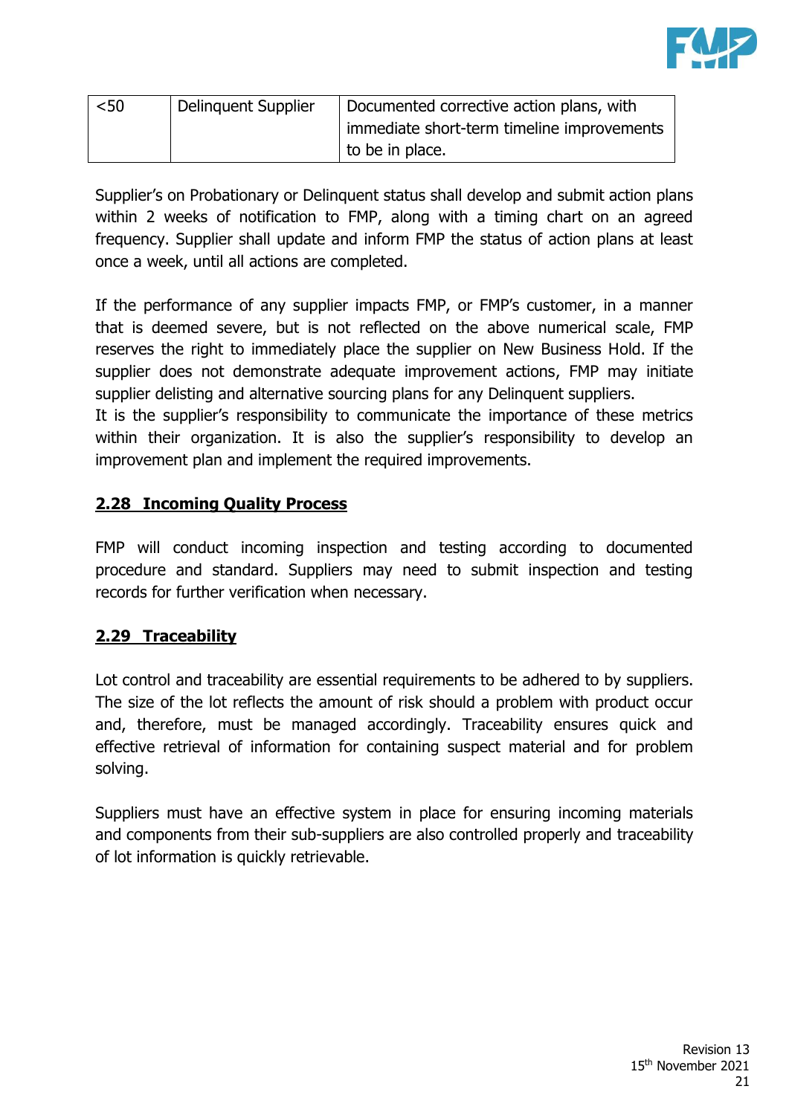

| < 50 | Delinguent Supplier | Documented corrective action plans, with  |
|------|---------------------|-------------------------------------------|
|      |                     | mmediate short-term timeline improvements |
|      |                     | to be in place.                           |

Supplier's on Probationary or Delinquent status shall develop and submit action plans within 2 weeks of notification to FMP, along with a timing chart on an agreed frequency. Supplier shall update and inform FMP the status of action plans at least once a week, until all actions are completed.

If the performance of any supplier impacts FMP, or FMP's customer, in a manner that is deemed severe, but is not reflected on the above numerical scale, FMP reserves the right to immediately place the supplier on New Business Hold. If the supplier does not demonstrate adequate improvement actions, FMP may initiate supplier delisting and alternative sourcing plans for any Delinquent suppliers.

It is the supplier's responsibility to communicate the importance of these metrics within their organization. It is also the supplier's responsibility to develop an improvement plan and implement the required improvements.

# **2.28 Incoming Quality Process**

FMP will conduct incoming inspection and testing according to documented procedure and standard. Suppliers may need to submit inspection and testing records for further verification when necessary.

# **2.29 Traceability**

Lot control and traceability are essential requirements to be adhered to by suppliers. The size of the lot reflects the amount of risk should a problem with product occur and, therefore, must be managed accordingly. Traceability ensures quick and effective retrieval of information for containing suspect material and for problem solving.

Suppliers must have an effective system in place for ensuring incoming materials and components from their sub-suppliers are also controlled properly and traceability of lot information is quickly retrievable.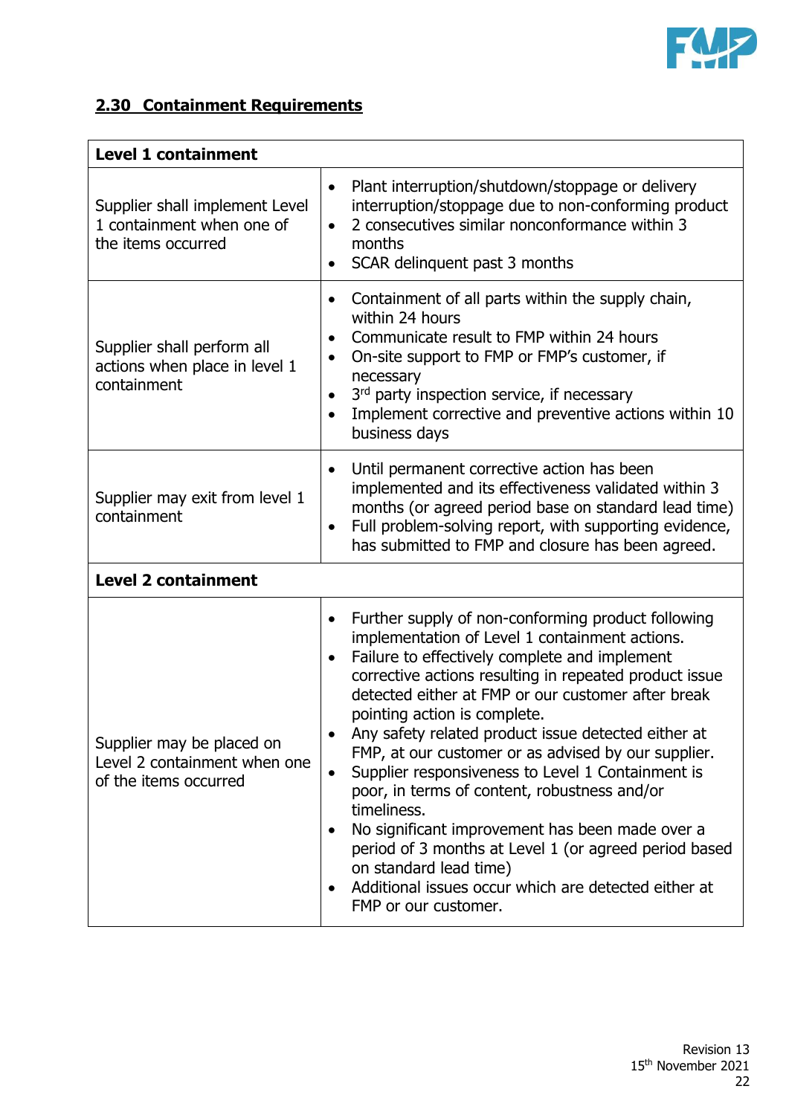

# **2.30 Containment Requirements**

| <b>Level 1 containment</b>                                                         |                                                                                                                                                                                                                                                                                                                                                                                                                                                                                                                                                                                                                                                                                                                                                                                                           |  |
|------------------------------------------------------------------------------------|-----------------------------------------------------------------------------------------------------------------------------------------------------------------------------------------------------------------------------------------------------------------------------------------------------------------------------------------------------------------------------------------------------------------------------------------------------------------------------------------------------------------------------------------------------------------------------------------------------------------------------------------------------------------------------------------------------------------------------------------------------------------------------------------------------------|--|
| Supplier shall implement Level<br>1 containment when one of<br>the items occurred  | Plant interruption/shutdown/stoppage or delivery<br>$\bullet$<br>interruption/stoppage due to non-conforming product<br>2 consecutives similar nonconformance within 3<br>$\bullet$<br>months<br>SCAR delinquent past 3 months<br>$\bullet$                                                                                                                                                                                                                                                                                                                                                                                                                                                                                                                                                               |  |
| Supplier shall perform all<br>actions when place in level 1<br>containment         | Containment of all parts within the supply chain,<br>$\bullet$<br>within 24 hours<br>Communicate result to FMP within 24 hours<br>$\bullet$<br>On-site support to FMP or FMP's customer, if<br>$\bullet$<br>necessary<br>3rd party inspection service, if necessary<br>$\bullet$<br>Implement corrective and preventive actions within 10<br>$\bullet$<br>business days                                                                                                                                                                                                                                                                                                                                                                                                                                   |  |
| Supplier may exit from level 1<br>containment                                      | Until permanent corrective action has been<br>$\bullet$<br>implemented and its effectiveness validated within 3<br>months (or agreed period base on standard lead time)<br>Full problem-solving report, with supporting evidence,<br>$\bullet$<br>has submitted to FMP and closure has been agreed.                                                                                                                                                                                                                                                                                                                                                                                                                                                                                                       |  |
| <b>Level 2 containment</b>                                                         |                                                                                                                                                                                                                                                                                                                                                                                                                                                                                                                                                                                                                                                                                                                                                                                                           |  |
| Supplier may be placed on<br>Level 2 containment when one<br>of the items occurred | Further supply of non-conforming product following<br>٠<br>implementation of Level 1 containment actions.<br>Failure to effectively complete and implement<br>$\bullet$<br>corrective actions resulting in repeated product issue<br>detected either at FMP or our customer after break<br>pointing action is complete.<br>Any safety related product issue detected either at<br>FMP, at our customer or as advised by our supplier.<br>Supplier responsiveness to Level 1 Containment is<br>$\bullet$<br>poor, in terms of content, robustness and/or<br>timeliness.<br>No significant improvement has been made over a<br>$\bullet$<br>period of 3 months at Level 1 (or agreed period based<br>on standard lead time)<br>Additional issues occur which are detected either at<br>FMP or our customer. |  |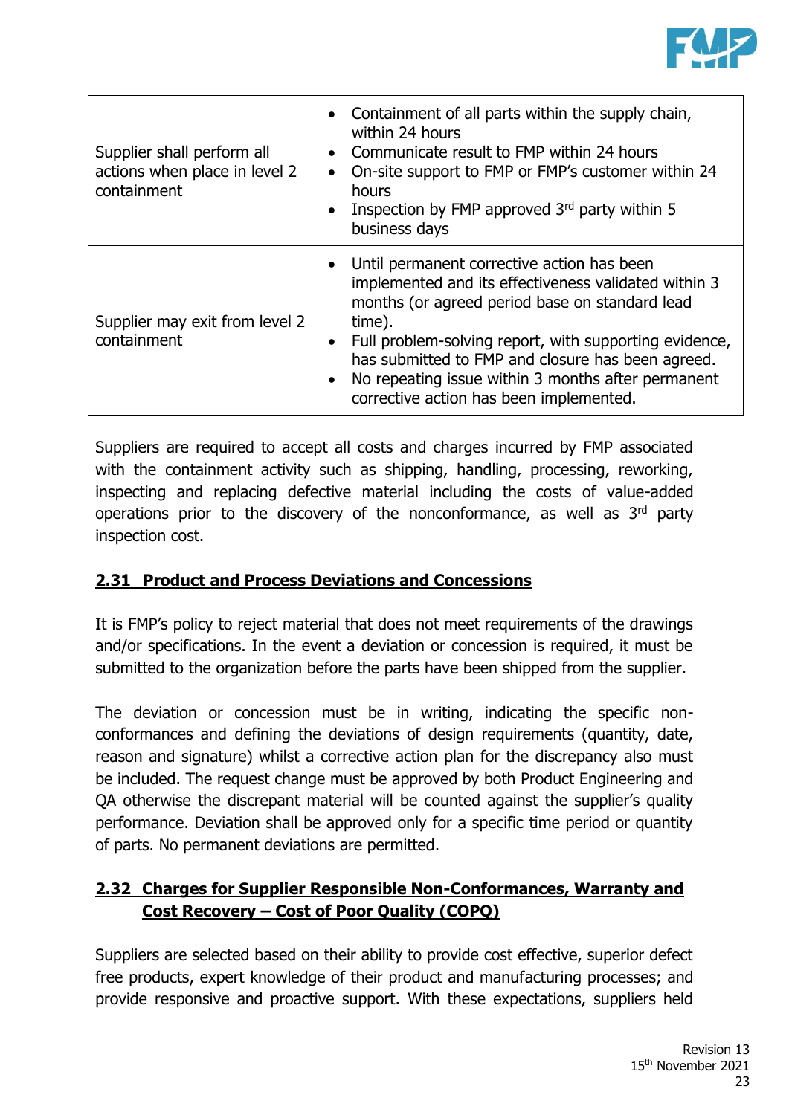

| Supplier shall perform all<br>actions when place in level 2<br>containment | Containment of all parts within the supply chain,<br>within 24 hours<br>Communicate result to FMP within 24 hours<br>On-site support to FMP or FMP's customer within 24<br>hours<br>Inspection by FMP approved 3rd party within 5<br>business days                                                                                                                             |
|----------------------------------------------------------------------------|--------------------------------------------------------------------------------------------------------------------------------------------------------------------------------------------------------------------------------------------------------------------------------------------------------------------------------------------------------------------------------|
| Supplier may exit from level 2<br>containment                              | Until permanent corrective action has been<br>implemented and its effectiveness validated within 3<br>months (or agreed period base on standard lead<br>time).<br>Full problem-solving report, with supporting evidence,<br>has submitted to FMP and closure has been agreed.<br>No repeating issue within 3 months after permanent<br>corrective action has been implemented. |

Suppliers are required to accept all costs and charges incurred by FMP associated with the containment activity such as shipping, handling, processing, reworking, inspecting and replacing defective material including the costs of value-added operations prior to the discovery of the nonconformance, as well as 3rd party inspection cost.

# **2.31 Product and Process Deviations and Concessions**

It is FMP's policy to reject material that does not meet requirements of the drawings and/or specifications. In the event a deviation or concession is required, it must be submitted to the organization before the parts have been shipped from the supplier.

The deviation or concession must be in writing, indicating the specific nonconformances and defining the deviations of design requirements (quantity, date, reason and signature) whilst a corrective action plan for the discrepancy also must be included. The request change must be approved by both Product Engineering and QA otherwise the discrepant material will be counted against the supplier's quality performance. Deviation shall be approved only for a specific time period or quantity of parts. No permanent deviations are permitted.

# **2.32 Charges for Supplier Responsible Non-Conformances, Warranty and Cost Recovery – Cost of Poor Quality (COPQ)**

Suppliers are selected based on their ability to provide cost effective, superior defect free products, expert knowledge of their product and manufacturing processes; and provide responsive and proactive support. With these expectations, suppliers held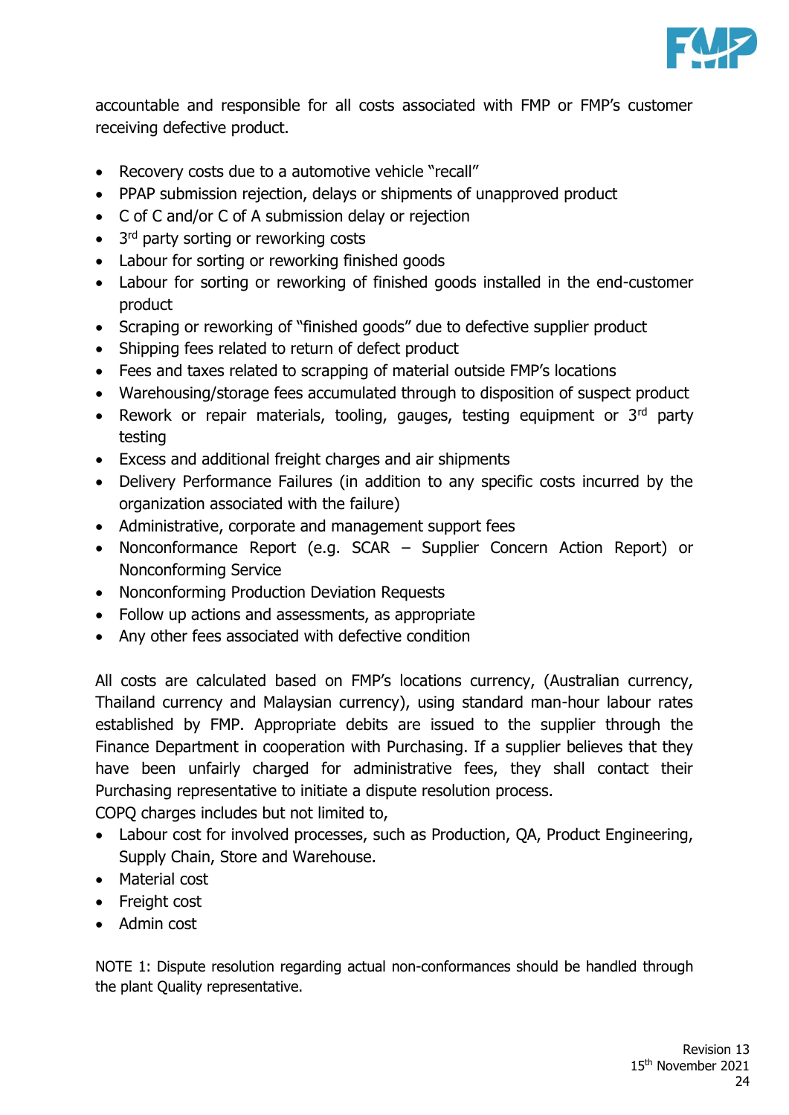

accountable and responsible for all costs associated with FMP or FMP's customer receiving defective product.

- Recovery costs due to a automotive vehicle "recall"
- PPAP submission rejection, delays or shipments of unapproved product
- C of C and/or C of A submission delay or rejection
- 3<sup>rd</sup> party sorting or reworking costs
- Labour for sorting or reworking finished goods
- Labour for sorting or reworking of finished goods installed in the end-customer product
- Scraping or reworking of "finished goods" due to defective supplier product
- Shipping fees related to return of defect product
- Fees and taxes related to scrapping of material outside FMP's locations
- Warehousing/storage fees accumulated through to disposition of suspect product
- Rework or repair materials, tooling, gauges, testing equipment or  $3<sup>rd</sup>$  party testing
- Excess and additional freight charges and air shipments
- Delivery Performance Failures (in addition to any specific costs incurred by the organization associated with the failure)
- Administrative, corporate and management support fees
- Nonconformance Report (e.g. SCAR Supplier Concern Action Report) or Nonconforming Service
- Nonconforming Production Deviation Requests
- Follow up actions and assessments, as appropriate
- Any other fees associated with defective condition

All costs are calculated based on FMP's locations currency, (Australian currency, Thailand currency and Malaysian currency), using standard man-hour labour rates established by FMP. Appropriate debits are issued to the supplier through the Finance Department in cooperation with Purchasing. If a supplier believes that they have been unfairly charged for administrative fees, they shall contact their Purchasing representative to initiate a dispute resolution process.

COPQ charges includes but not limited to,

- Labour cost for involved processes, such as Production, QA, Product Engineering, Supply Chain, Store and Warehouse.
- Material cost
- Freight cost
- Admin cost

NOTE 1: Dispute resolution regarding actual non-conformances should be handled through the plant Quality representative.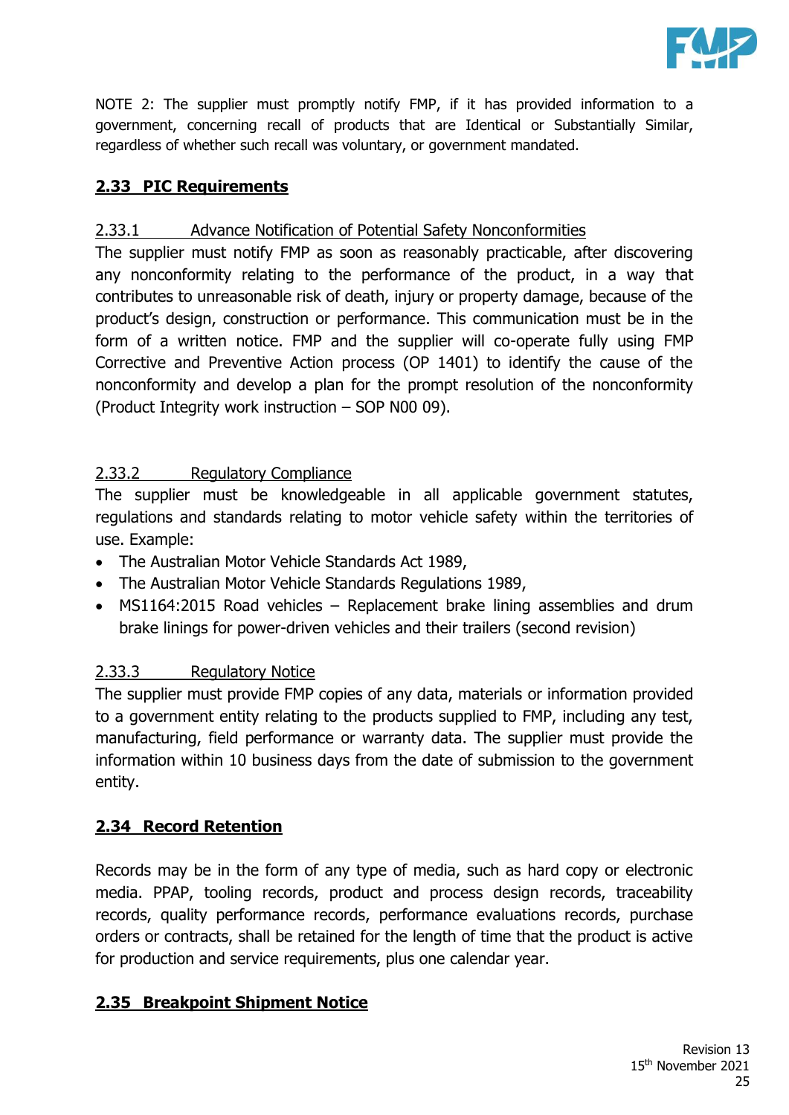

NOTE 2: The supplier must promptly notify FMP, if it has provided information to a government, concerning recall of products that are Identical or Substantially Similar, regardless of whether such recall was voluntary, or government mandated.

# **2.33 PIC Requirements**

# 2.33.1 Advance Notification of Potential Safety Nonconformities

The supplier must notify FMP as soon as reasonably practicable, after discovering any nonconformity relating to the performance of the product, in a way that contributes to unreasonable risk of death, injury or property damage, because of the product's design, construction or performance. This communication must be in the form of a written notice. FMP and the supplier will co-operate fully using FMP Corrective and Preventive Action process (OP 1401) to identify the cause of the nonconformity and develop a plan for the prompt resolution of the nonconformity (Product Integrity work instruction – SOP N00 09).

#### 2.33.2 Regulatory Compliance

The supplier must be knowledgeable in all applicable government statutes, regulations and standards relating to motor vehicle safety within the territories of use. Example:

- The Australian Motor Vehicle Standards Act 1989,
- The Australian Motor Vehicle Standards Regulations 1989,
- MS1164:2015 Road vehicles Replacement brake lining assemblies and drum brake linings for power-driven vehicles and their trailers (second revision)

#### 2.33.3 Regulatory Notice

The supplier must provide FMP copies of any data, materials or information provided to a government entity relating to the products supplied to FMP, including any test, manufacturing, field performance or warranty data. The supplier must provide the information within 10 business days from the date of submission to the government entity.

# **2.34 Record Retention**

Records may be in the form of any type of media, such as hard copy or electronic media. PPAP, tooling records, product and process design records, traceability records, quality performance records, performance evaluations records, purchase orders or contracts, shall be retained for the length of time that the product is active for production and service requirements, plus one calendar year.

# **2.35 Breakpoint Shipment Notice**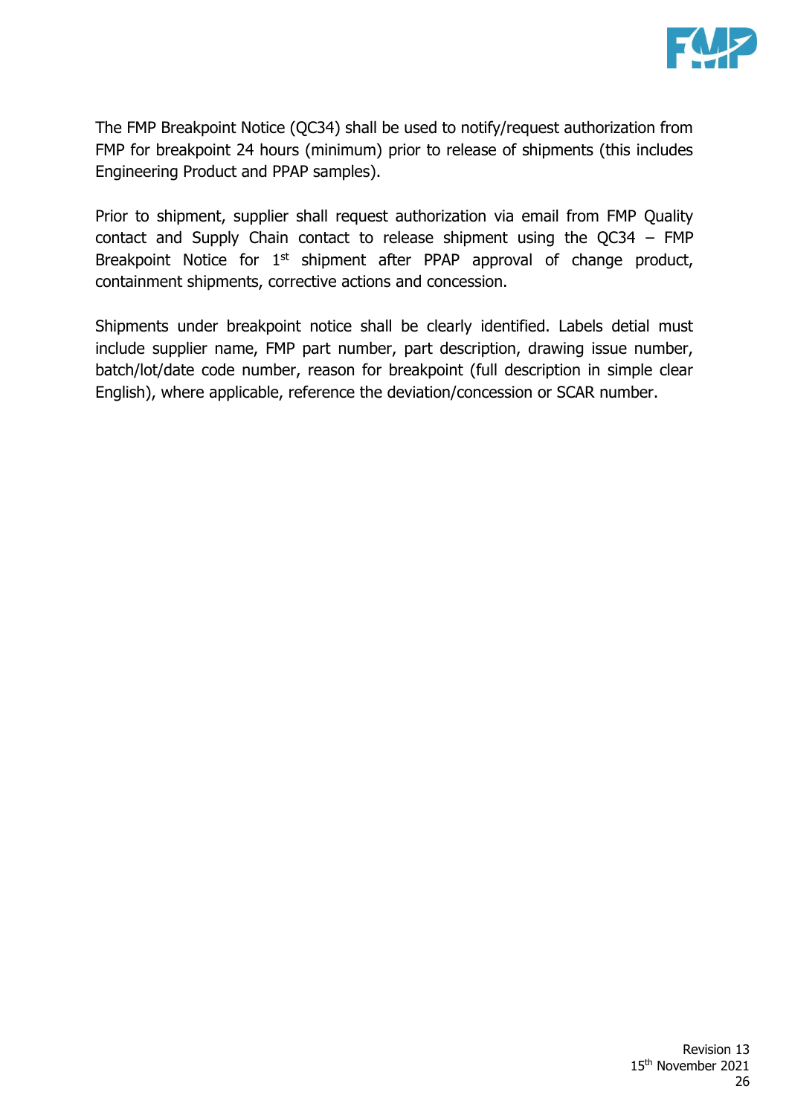

The FMP Breakpoint Notice (QC34) shall be used to notify/request authorization from FMP for breakpoint 24 hours (minimum) prior to release of shipments (this includes Engineering Product and PPAP samples).

Prior to shipment, supplier shall request authorization via email from FMP Quality contact and Supply Chain contact to release shipment using the QC34 – FMP Breakpoint Notice for  $1<sup>st</sup>$  shipment after PPAP approval of change product, containment shipments, corrective actions and concession.

Shipments under breakpoint notice shall be clearly identified. Labels detial must include supplier name, FMP part number, part description, drawing issue number, batch/lot/date code number, reason for breakpoint (full description in simple clear English), where applicable, reference the deviation/concession or SCAR number.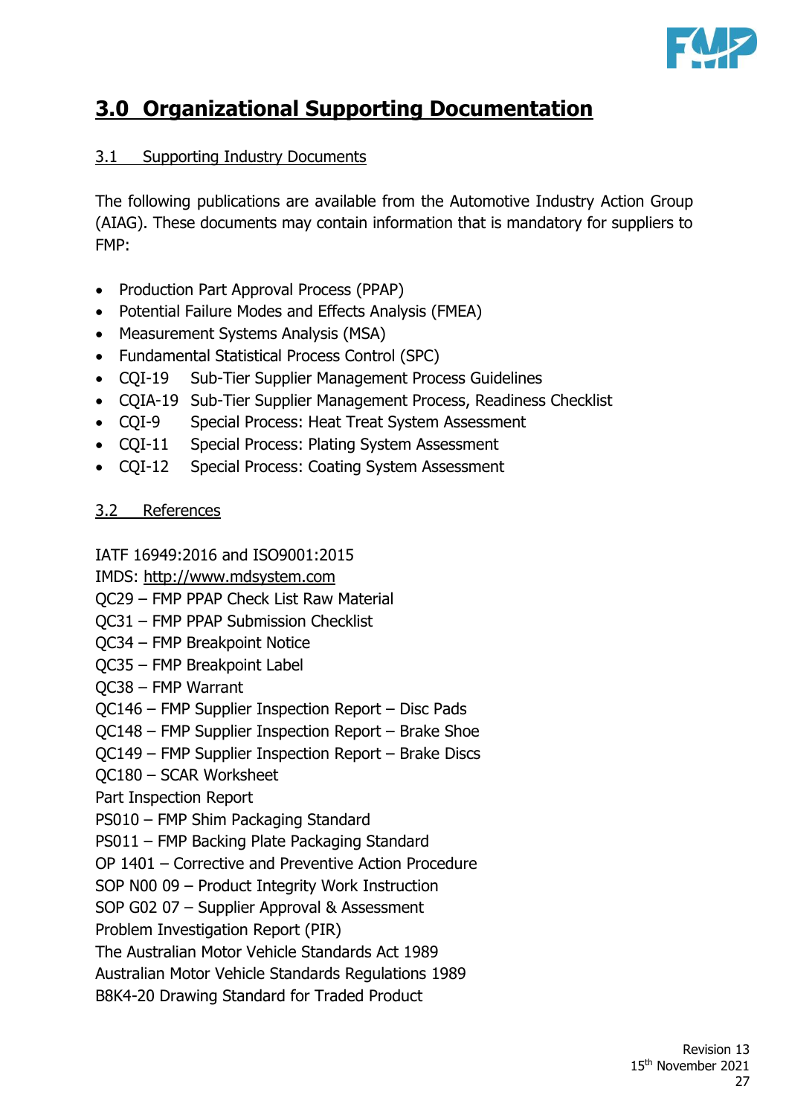

# **3.0 Organizational Supporting Documentation**

# 3.1 Supporting Industry Documents

The following publications are available from the Automotive Industry Action Group (AIAG). These documents may contain information that is mandatory for suppliers to FMP:

- Production Part Approval Process (PPAP)
- Potential Failure Modes and Effects Analysis (FMEA)
- Measurement Systems Analysis (MSA)
- Fundamental Statistical Process Control (SPC)
- CQI-19 Sub-Tier Supplier Management Process Guidelines
- CQIA-19 Sub-Tier Supplier Management Process, Readiness Checklist
- CQI-9 Special Process: Heat Treat System Assessment
- CQI-11 Special Process: Plating System Assessment
- CQI-12 Special Process: Coating System Assessment

# 3.2 References

IATF 16949:2016 and ISO9001:2015

- IMDS: [http://www.mdsystem.com](http://www.mdsystem.com/)
- QC29 FMP PPAP Check List Raw Material
- QC31 FMP PPAP Submission Checklist
- QC34 FMP Breakpoint Notice
- QC35 FMP Breakpoint Label
- QC38 FMP Warrant
- QC146 FMP Supplier Inspection Report Disc Pads
- QC148 FMP Supplier Inspection Report Brake Shoe
- QC149 FMP Supplier Inspection Report Brake Discs
- QC180 SCAR Worksheet
- Part Inspection Report
- PS010 FMP Shim Packaging Standard
- PS011 FMP Backing Plate Packaging Standard
- OP 1401 Corrective and Preventive Action Procedure
- SOP N00 09 Product Integrity Work Instruction
- SOP G02 07 Supplier Approval & Assessment

Problem Investigation Report (PIR)

The Australian Motor Vehicle Standards Act 1989

Australian Motor Vehicle Standards Regulations 1989

B8K4-20 Drawing Standard for Traded Product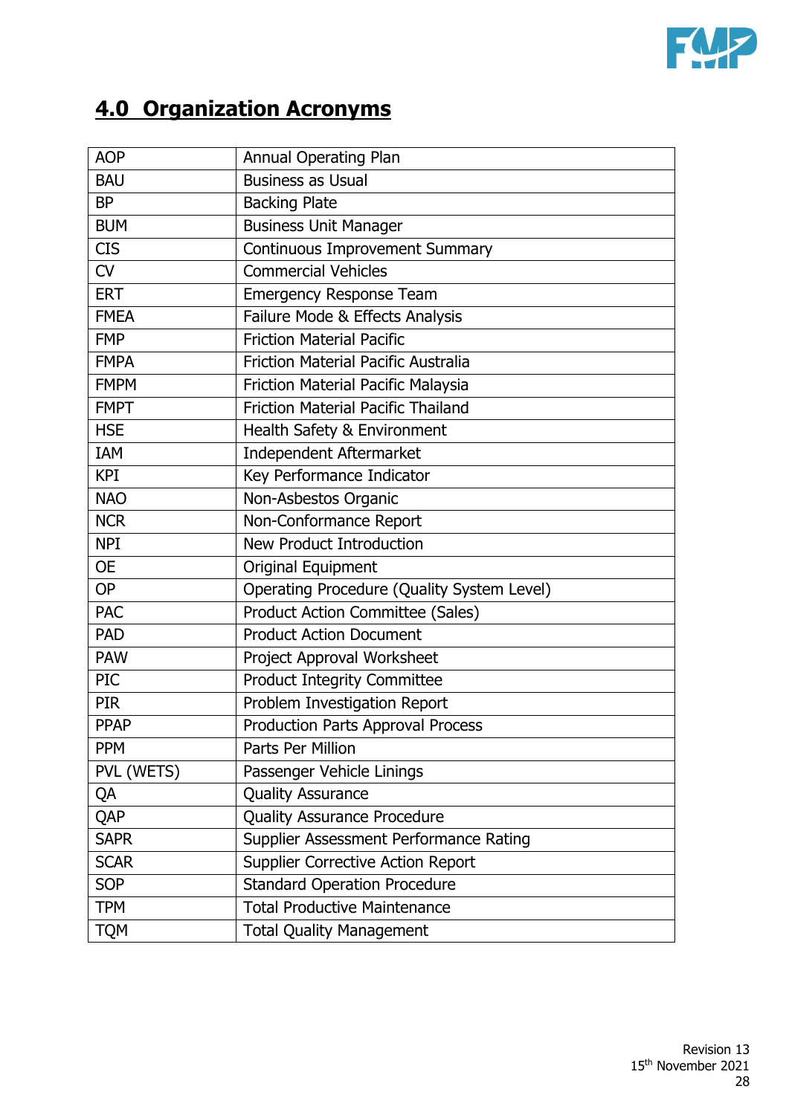

# **4.0 Organization Acronyms**

| <b>AOP</b>  | <b>Annual Operating Plan</b>               |
|-------------|--------------------------------------------|
| <b>BAU</b>  | <b>Business as Usual</b>                   |
| <b>BP</b>   | <b>Backing Plate</b>                       |
| <b>BUM</b>  | <b>Business Unit Manager</b>               |
| <b>CIS</b>  | <b>Continuous Improvement Summary</b>      |
| CV          | <b>Commercial Vehicles</b>                 |
| <b>ERT</b>  | <b>Emergency Response Team</b>             |
| <b>FMEA</b> | Failure Mode & Effects Analysis            |
| <b>FMP</b>  | <b>Friction Material Pacific</b>           |
| <b>FMPA</b> | <b>Friction Material Pacific Australia</b> |
| <b>FMPM</b> | Friction Material Pacific Malaysia         |
| <b>FMPT</b> | <b>Friction Material Pacific Thailand</b>  |
| <b>HSE</b>  | Health Safety & Environment                |
| IAM         | Independent Aftermarket                    |
| <b>KPI</b>  | Key Performance Indicator                  |
| <b>NAO</b>  | Non-Asbestos Organic                       |
| <b>NCR</b>  | Non-Conformance Report                     |
| <b>NPI</b>  | <b>New Product Introduction</b>            |
| <b>OE</b>   | Original Equipment                         |
| <b>OP</b>   | Operating Procedure (Quality System Level) |
| <b>PAC</b>  | <b>Product Action Committee (Sales)</b>    |
| <b>PAD</b>  | <b>Product Action Document</b>             |
| <b>PAW</b>  | Project Approval Worksheet                 |
| <b>PIC</b>  | <b>Product Integrity Committee</b>         |
| <b>PIR</b>  | Problem Investigation Report               |
| <b>PPAP</b> | <b>Production Parts Approval Process</b>   |
| <b>PPM</b>  | Parts Per Million                          |
| PVL (WETS)  | Passenger Vehicle Linings                  |
| QA          | <b>Quality Assurance</b>                   |
| QAP         | <b>Quality Assurance Procedure</b>         |
| <b>SAPR</b> | Supplier Assessment Performance Rating     |
| <b>SCAR</b> | <b>Supplier Corrective Action Report</b>   |
| <b>SOP</b>  | <b>Standard Operation Procedure</b>        |
| <b>TPM</b>  | <b>Total Productive Maintenance</b>        |
| <b>TQM</b>  | <b>Total Quality Management</b>            |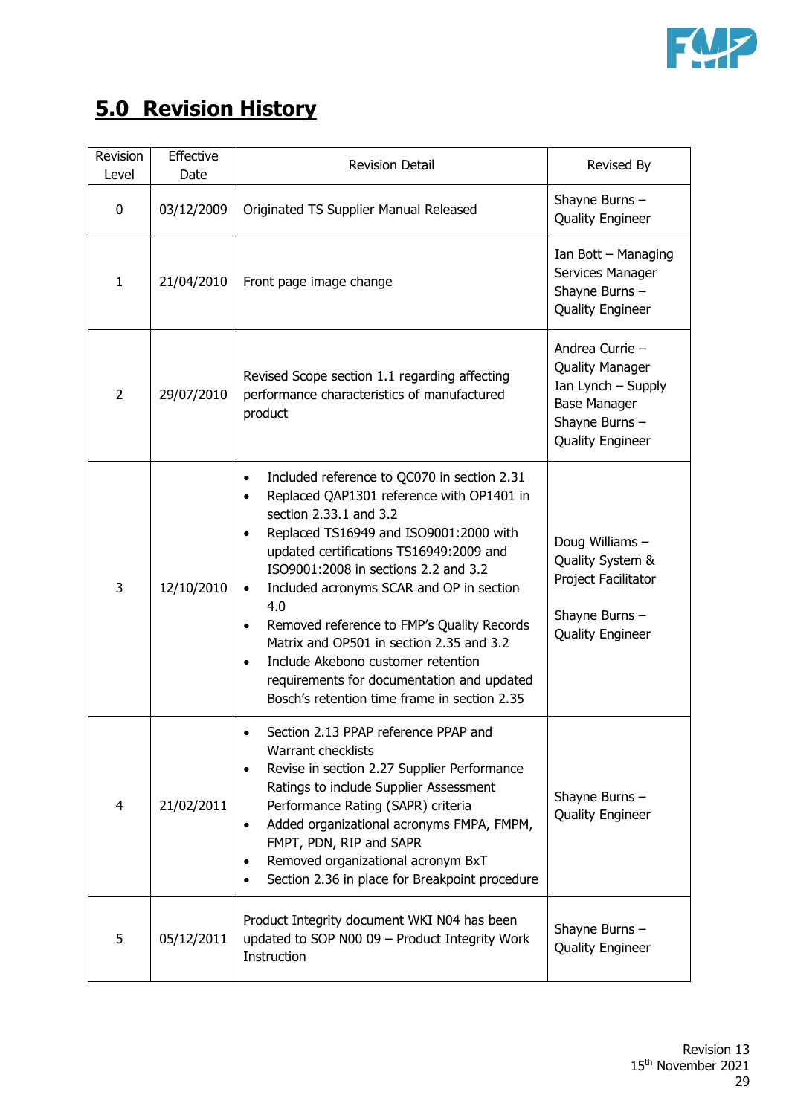

# **5.0 Revision History**

| Revision<br>Level | Effective<br>Date | <b>Revision Detail</b>                                                                                                                                                                                                                                                                                                                                                                                                                                                                                                                                                               | Revised By                                                                                                                          |
|-------------------|-------------------|--------------------------------------------------------------------------------------------------------------------------------------------------------------------------------------------------------------------------------------------------------------------------------------------------------------------------------------------------------------------------------------------------------------------------------------------------------------------------------------------------------------------------------------------------------------------------------------|-------------------------------------------------------------------------------------------------------------------------------------|
| 0                 | 03/12/2009        | Originated TS Supplier Manual Released                                                                                                                                                                                                                                                                                                                                                                                                                                                                                                                                               | Shayne Burns -<br><b>Quality Engineer</b>                                                                                           |
| $\mathbf{1}$      | 21/04/2010        | Front page image change                                                                                                                                                                                                                                                                                                                                                                                                                                                                                                                                                              | Ian Bott - Managing<br>Services Manager<br>Shayne Burns -<br><b>Quality Engineer</b>                                                |
| $\overline{2}$    | 29/07/2010        | Revised Scope section 1.1 regarding affecting<br>performance characteristics of manufactured<br>product                                                                                                                                                                                                                                                                                                                                                                                                                                                                              | Andrea Currie -<br><b>Quality Manager</b><br>Ian Lynch - Supply<br><b>Base Manager</b><br>Shayne Burns -<br><b>Quality Engineer</b> |
| 3                 | 12/10/2010        | Included reference to QC070 in section 2.31<br>$\bullet$<br>Replaced QAP1301 reference with OP1401 in<br>section 2.33.1 and 3.2<br>Replaced TS16949 and ISO9001:2000 with<br>$\bullet$<br>updated certifications TS16949:2009 and<br>ISO9001:2008 in sections 2.2 and 3.2<br>Included acronyms SCAR and OP in section<br>$\bullet$<br>4.0<br>Removed reference to FMP's Quality Records<br>$\bullet$<br>Matrix and OP501 in section 2.35 and 3.2<br>Include Akebono customer retention<br>requirements for documentation and updated<br>Bosch's retention time frame in section 2.35 | Doug Williams -<br>Quality System &<br>Project Facilitator<br>Shayne Burns -<br><b>Quality Engineer</b>                             |
| $\overline{4}$    | 21/02/2011        | Section 2.13 PPAP reference PPAP and<br><b>Warrant checklists</b><br>Revise in section 2.27 Supplier Performance<br>$\bullet$<br>Ratings to include Supplier Assessment<br>Performance Rating (SAPR) criteria<br>Added organizational acronyms FMPA, FMPM,<br>$\bullet$<br>FMPT, PDN, RIP and SAPR<br>Removed organizational acronym BxT<br>Section 2.36 in place for Breakpoint procedure                                                                                                                                                                                           | Shayne Burns -<br><b>Quality Engineer</b>                                                                                           |
| 5                 | 05/12/2011        | Product Integrity document WKI N04 has been<br>updated to SOP N00 09 - Product Integrity Work<br>Instruction                                                                                                                                                                                                                                                                                                                                                                                                                                                                         | Shayne Burns -<br><b>Quality Engineer</b>                                                                                           |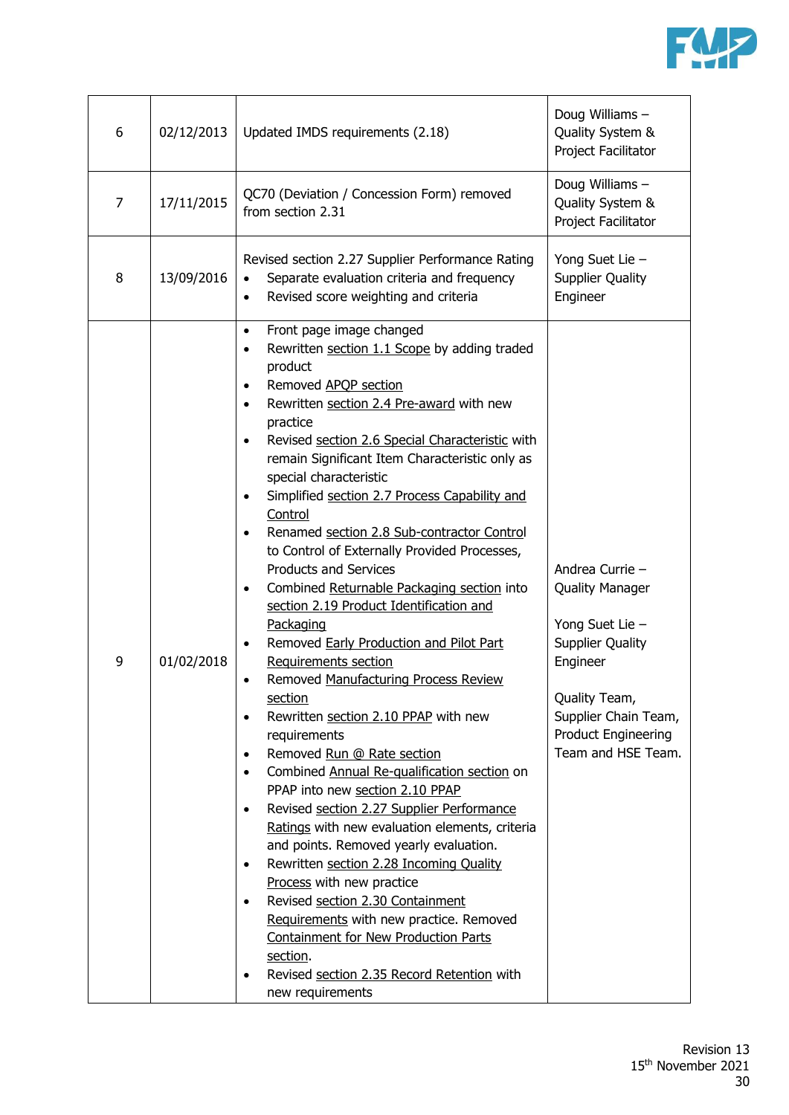

| 6              | 02/12/2013 | Updated IMDS requirements (2.18)                                                                                                                                                                                                                                                                                                                                                                                                                                                                                                                                                                                                                                                                                                                                                                                                                                                                                                                                                                                                                                                                                                                                                                                                                                                                                                                                                                                                                                                                                                              | Doug Williams -<br>Quality System &<br>Project Facilitator                                                                                                                                       |
|----------------|------------|-----------------------------------------------------------------------------------------------------------------------------------------------------------------------------------------------------------------------------------------------------------------------------------------------------------------------------------------------------------------------------------------------------------------------------------------------------------------------------------------------------------------------------------------------------------------------------------------------------------------------------------------------------------------------------------------------------------------------------------------------------------------------------------------------------------------------------------------------------------------------------------------------------------------------------------------------------------------------------------------------------------------------------------------------------------------------------------------------------------------------------------------------------------------------------------------------------------------------------------------------------------------------------------------------------------------------------------------------------------------------------------------------------------------------------------------------------------------------------------------------------------------------------------------------|--------------------------------------------------------------------------------------------------------------------------------------------------------------------------------------------------|
| $\overline{7}$ | 17/11/2015 | QC70 (Deviation / Concession Form) removed<br>from section 2.31                                                                                                                                                                                                                                                                                                                                                                                                                                                                                                                                                                                                                                                                                                                                                                                                                                                                                                                                                                                                                                                                                                                                                                                                                                                                                                                                                                                                                                                                               | Doug Williams -<br>Quality System &<br>Project Facilitator                                                                                                                                       |
| 8              | 13/09/2016 | Revised section 2.27 Supplier Performance Rating<br>Separate evaluation criteria and frequency<br>$\bullet$<br>Revised score weighting and criteria<br>$\bullet$                                                                                                                                                                                                                                                                                                                                                                                                                                                                                                                                                                                                                                                                                                                                                                                                                                                                                                                                                                                                                                                                                                                                                                                                                                                                                                                                                                              | Yong Suet Lie -<br><b>Supplier Quality</b><br>Engineer                                                                                                                                           |
| 9              | 01/02/2018 | Front page image changed<br>$\bullet$<br>Rewritten section 1.1 Scope by adding traded<br>$\bullet$<br>product<br>Removed APQP section<br>$\bullet$<br>Rewritten section 2.4 Pre-award with new<br>$\bullet$<br>practice<br>Revised section 2.6 Special Characteristic with<br>$\bullet$<br>remain Significant Item Characteristic only as<br>special characteristic<br>Simplified section 2.7 Process Capability and<br>Control<br>Renamed section 2.8 Sub-contractor Control<br>$\bullet$<br>to Control of Externally Provided Processes,<br><b>Products and Services</b><br>Combined Returnable Packaging section into<br>$\bullet$<br>section 2.19 Product Identification and<br>Packaging<br>Removed Early Production and Pilot Part<br>$\bullet$<br>Requirements section<br>Removed Manufacturing Process Review<br>$\bullet$<br>section<br>Rewritten section 2.10 PPAP with new<br>$\bullet$<br>requirements<br>Removed Run @ Rate section<br>$\bullet$<br>Combined Annual Re-qualification section on<br>$\bullet$<br>PPAP into new section 2.10 PPAP<br>Revised section 2.27 Supplier Performance<br>$\bullet$<br>Ratings with new evaluation elements, criteria<br>and points. Removed yearly evaluation.<br>Rewritten section 2.28 Incoming Quality<br>$\bullet$<br>Process with new practice<br>Revised section 2.30 Containment<br>$\bullet$<br>Requirements with new practice. Removed<br><b>Containment for New Production Parts</b><br>section.<br>Revised section 2.35 Record Retention with<br>$\bullet$<br>new requirements | Andrea Currie -<br><b>Quality Manager</b><br>Yong Suet Lie -<br><b>Supplier Quality</b><br>Engineer<br>Quality Team,<br>Supplier Chain Team,<br><b>Product Engineering</b><br>Team and HSE Team. |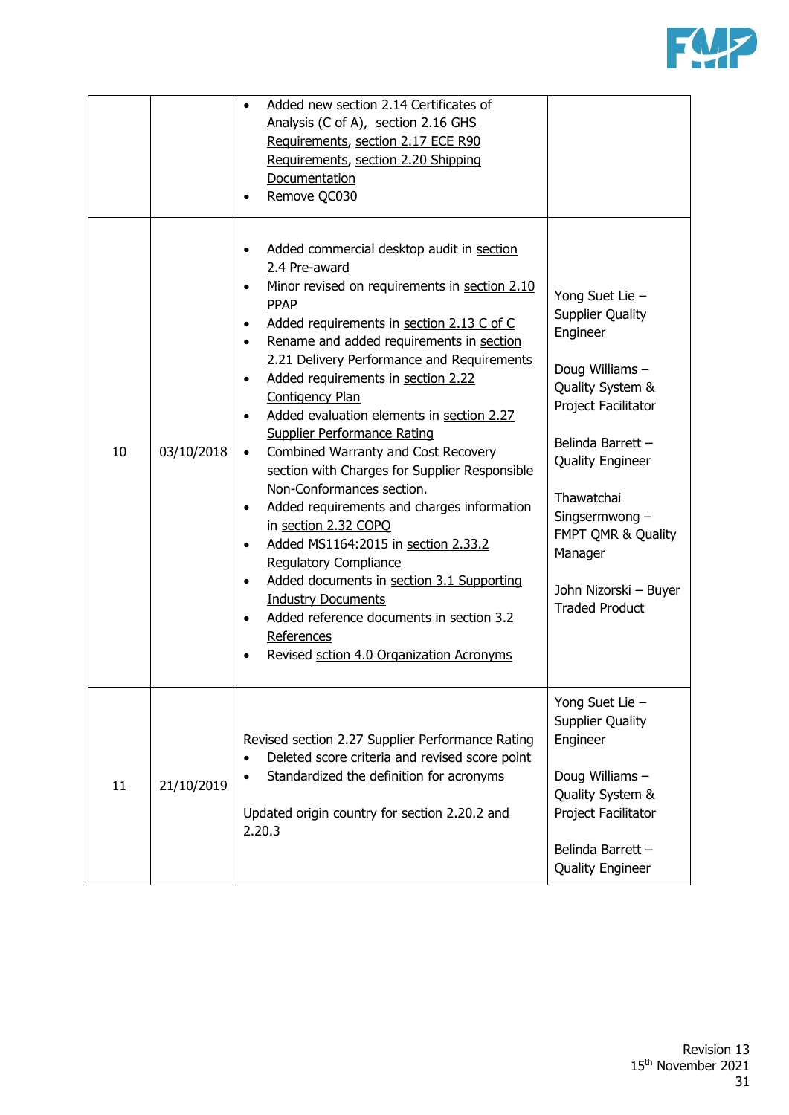

|    |            | Added new section 2.14 Certificates of<br>$\bullet$<br>Analysis (C of A), section 2.16 GHS<br>Requirements, section 2.17 ECE R90<br>Requirements, section 2.20 Shipping<br>Documentation<br>Remove QC030                                                                                                                                                                                                                                                                                                                                                                                                                                                                                                                                                                                                                                                                                                                                                                                                       |                                                                                                                                                                                                                                                                                         |
|----|------------|----------------------------------------------------------------------------------------------------------------------------------------------------------------------------------------------------------------------------------------------------------------------------------------------------------------------------------------------------------------------------------------------------------------------------------------------------------------------------------------------------------------------------------------------------------------------------------------------------------------------------------------------------------------------------------------------------------------------------------------------------------------------------------------------------------------------------------------------------------------------------------------------------------------------------------------------------------------------------------------------------------------|-----------------------------------------------------------------------------------------------------------------------------------------------------------------------------------------------------------------------------------------------------------------------------------------|
| 10 | 03/10/2018 | Added commercial desktop audit in section<br>$\bullet$<br>2.4 Pre-award<br>Minor revised on requirements in section 2.10<br>$\bullet$<br>PPAP<br>Added requirements in section 2.13 C of C<br>$\bullet$<br>Rename and added requirements in section<br>$\bullet$<br>2.21 Delivery Performance and Requirements<br>Added requirements in section 2.22<br>$\bullet$<br><b>Contigency Plan</b><br>Added evaluation elements in section 2.27<br>$\bullet$<br><b>Supplier Performance Rating</b><br>Combined Warranty and Cost Recovery<br>$\bullet$<br>section with Charges for Supplier Responsible<br>Non-Conformances section.<br>Added requirements and charges information<br>$\bullet$<br>in section 2.32 COPQ<br>Added MS1164:2015 in section 2.33.2<br>$\bullet$<br><b>Requlatory Compliance</b><br>Added documents in section 3.1 Supporting<br>$\bullet$<br><b>Industry Documents</b><br>Added reference documents in section 3.2<br>$\bullet$<br>References<br>Revised sction 4.0 Organization Acronyms | Yong Suet Lie -<br><b>Supplier Quality</b><br>Engineer<br>Doug Williams -<br>Quality System &<br>Project Facilitator<br>Belinda Barrett -<br><b>Quality Engineer</b><br>Thawatchai<br>Singsermwong -<br>FMPT QMR & Quality<br>Manager<br>John Nizorski - Buyer<br><b>Traded Product</b> |
| 11 | 21/10/2019 | Revised section 2.27 Supplier Performance Rating<br>Deleted score criteria and revised score point<br>Standardized the definition for acronyms<br>Updated origin country for section 2.20.2 and<br>2.20.3                                                                                                                                                                                                                                                                                                                                                                                                                                                                                                                                                                                                                                                                                                                                                                                                      | Yong Suet Lie -<br><b>Supplier Quality</b><br>Engineer<br>Doug Williams -<br>Quality System &<br>Project Facilitator<br>Belinda Barrett -<br><b>Quality Engineer</b>                                                                                                                    |